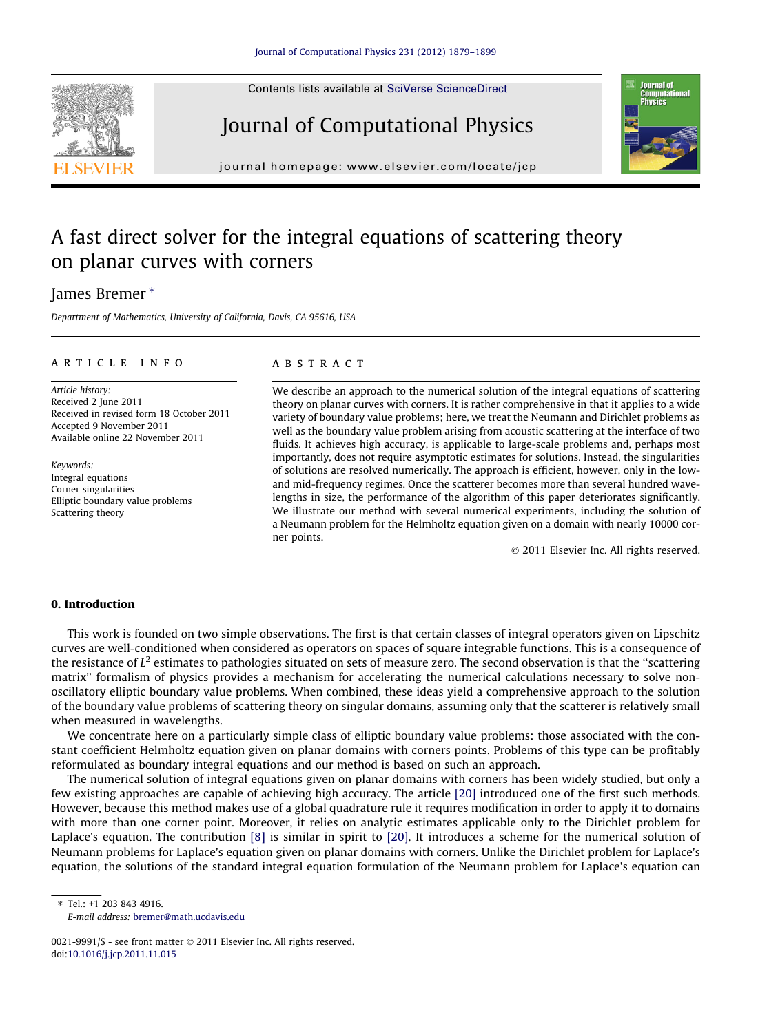Contents lists available at [SciVerse ScienceDirect](http://www.sciencedirect.com/science/journal/00219991)







journal homepage: [www.elsevier.com/locate/jcp](http://www.elsevier.com/locate/jcp)

# A fast direct solver for the integral equations of scattering theory on planar curves with corners

# James Bremer\*

Department of Mathematics, University of California, Davis, CA 95616, USA

# article info

Article history: Received 2 June 2011 Received in revised form 18 October 2011 Accepted 9 November 2011 Available online 22 November 2011

Keywords: Integral equations Corner singularities Elliptic boundary value problems Scattering theory

# ABSTRACT

We describe an approach to the numerical solution of the integral equations of scattering theory on planar curves with corners. It is rather comprehensive in that it applies to a wide variety of boundary value problems; here, we treat the Neumann and Dirichlet problems as well as the boundary value problem arising from acoustic scattering at the interface of two fluids. It achieves high accuracy, is applicable to large-scale problems and, perhaps most importantly, does not require asymptotic estimates for solutions. Instead, the singularities of solutions are resolved numerically. The approach is efficient, however, only in the lowand mid-frequency regimes. Once the scatterer becomes more than several hundred wavelengths in size, the performance of the algorithm of this paper deteriorates significantly. We illustrate our method with several numerical experiments, including the solution of a Neumann problem for the Helmholtz equation given on a domain with nearly 10000 corner points.

- 2011 Elsevier Inc. All rights reserved.

# 0. Introduction

This work is founded on two simple observations. The first is that certain classes of integral operators given on Lipschitz curves are well-conditioned when considered as operators on spaces of square integrable functions. This is a consequence of the resistance of  $L^2$  estimates to pathologies situated on sets of measure zero. The second observation is that the "scattering matrix'' formalism of physics provides a mechanism for accelerating the numerical calculations necessary to solve nonoscillatory elliptic boundary value problems. When combined, these ideas yield a comprehensive approach to the solution of the boundary value problems of scattering theory on singular domains, assuming only that the scatterer is relatively small when measured in wavelengths.

We concentrate here on a particularly simple class of elliptic boundary value problems: those associated with the constant coefficient Helmholtz equation given on planar domains with corners points. Problems of this type can be profitably reformulated as boundary integral equations and our method is based on such an approach.

The numerical solution of integral equations given on planar domains with corners has been widely studied, but only a few existing approaches are capable of achieving high accuracy. The article [\[20\]](#page-20-0) introduced one of the first such methods. However, because this method makes use of a global quadrature rule it requires modification in order to apply it to domains with more than one corner point. Moreover, it relies on analytic estimates applicable only to the Dirichlet problem for Laplace's equation. The contribution [\[8\]](#page-20-0) is similar in spirit to [\[20\]](#page-20-0). It introduces a scheme for the numerical solution of Neumann problems for Laplace's equation given on planar domains with corners. Unlike the Dirichlet problem for Laplace's equation, the solutions of the standard integral equation formulation of the Neumann problem for Laplace's equation can

 $*$  Tel.: +1 203 843 4916. E-mail address: [bremer@math.ucdavis.edu](mailto:bremer@math.ucdavis.edu)

<sup>0021-9991/\$ -</sup> see front matter © 2011 Elsevier Inc. All rights reserved. doi:[10.1016/j.jcp.2011.11.015](http://dx.doi.org/10.1016/j.jcp.2011.11.015)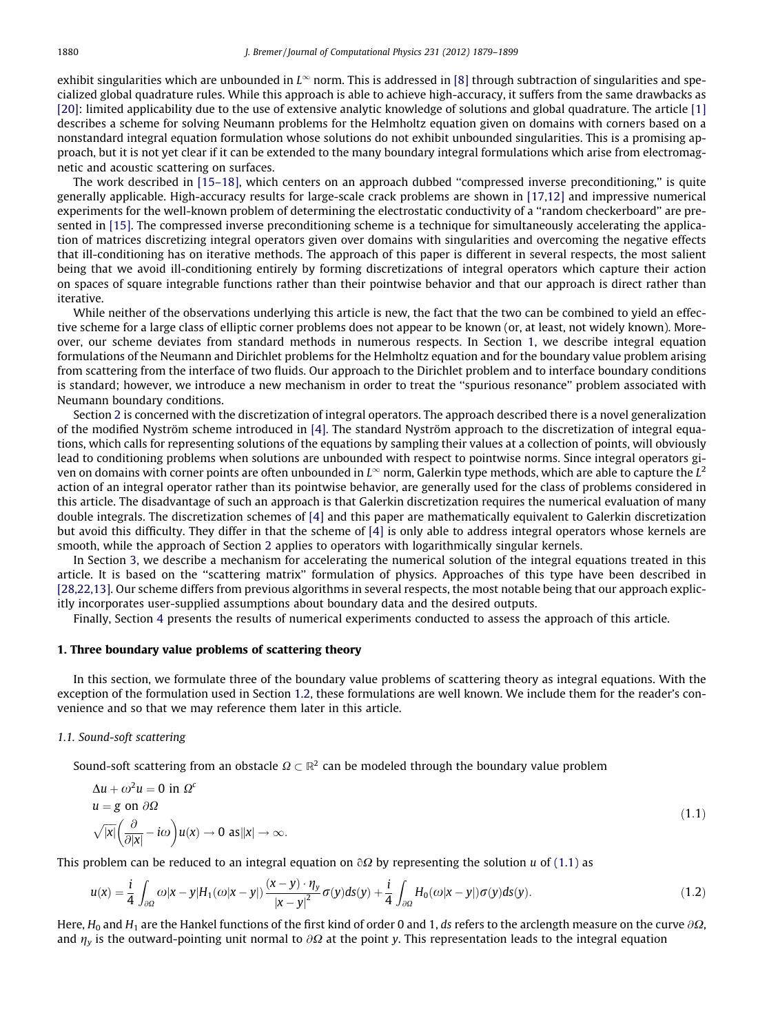<span id="page-1-0"></span>exhibit singularities which are unbounded in  $L^{\infty}$  norm. This is addressed in [\[8\]](#page-20-0) through subtraction of singularities and specialized global quadrature rules. While this approach is able to achieve high-accuracy, it suffers from the same drawbacks as [\[20\]:](#page-20-0) limited applicability due to the use of extensive analytic knowledge of solutions and global quadrature. The article [\[1\]](#page-19-0) describes a scheme for solving Neumann problems for the Helmholtz equation given on domains with corners based on a nonstandard integral equation formulation whose solutions do not exhibit unbounded singularities. This is a promising approach, but it is not yet clear if it can be extended to the many boundary integral formulations which arise from electromagnetic and acoustic scattering on surfaces.

The work described in [\[15–18\],](#page-20-0) which centers on an approach dubbed ''compressed inverse preconditioning,'' is quite generally applicable. High-accuracy results for large-scale crack problems are shown in [\[17,12\]](#page-20-0) and impressive numerical experiments for the well-known problem of determining the electrostatic conductivity of a ''random checkerboard'' are presented in [\[15\].](#page-20-0) The compressed inverse preconditioning scheme is a technique for simultaneously accelerating the application of matrices discretizing integral operators given over domains with singularities and overcoming the negative effects that ill-conditioning has on iterative methods. The approach of this paper is different in several respects, the most salient being that we avoid ill-conditioning entirely by forming discretizations of integral operators which capture their action on spaces of square integrable functions rather than their pointwise behavior and that our approach is direct rather than iterative.

While neither of the observations underlying this article is new, the fact that the two can be combined to yield an effective scheme for a large class of elliptic corner problems does not appear to be known (or, at least, not widely known). Moreover, our scheme deviates from standard methods in numerous respects. In Section 1, we describe integral equation formulations of the Neumann and Dirichlet problems for the Helmholtz equation and for the boundary value problem arising from scattering from the interface of two fluids. Our approach to the Dirichlet problem and to interface boundary conditions is standard; however, we introduce a new mechanism in order to treat the ''spurious resonance'' problem associated with Neumann boundary conditions.

Section 2 is concerned with the discretization of integral operators. The approach described there is a novel generalization of the modified Nyström scheme introduced in [\[4\]](#page-19-0). The standard Nyström approach to the discretization of integral equations, which calls for representing solutions of the equations by sampling their values at a collection of points, will obviously lead to conditioning problems when solutions are unbounded with respect to pointwise norms. Since integral operators given on domains with corner points are often unbounded in  $L^{\infty}$  norm, Galerkin type methods, which are able to capture the  $L^2$ action of an integral operator rather than its pointwise behavior, are generally used for the class of problems considered in this article. The disadvantage of such an approach is that Galerkin discretization requires the numerical evaluation of many double integrals. The discretization schemes of [\[4\]](#page-19-0) and this paper are mathematically equivalent to Galerkin discretization but avoid this difficulty. They differ in that the scheme of [\[4\]](#page-19-0) is only able to address integral operators whose kernels are smooth, while the approach of Section 2 applies to operators with logarithmically singular kernels.

In Section 3, we describe a mechanism for accelerating the numerical solution of the integral equations treated in this article. It is based on the ''scattering matrix'' formulation of physics. Approaches of this type have been described in [\[28,22,13\]](#page-20-0). Our scheme differs from previous algorithms in several respects, the most notable being that our approach explicitly incorporates user-supplied assumptions about boundary data and the desired outputs.

Finally, Section 4 presents the results of numerical experiments conducted to assess the approach of this article.

# 1. Three boundary value problems of scattering theory

In this section, we formulate three of the boundary value problems of scattering theory as integral equations. With the exception of the formulation used in Section 1.2, these formulations are well known. We include them for the reader's convenience and so that we may reference them later in this article.

# 1.1. Sound-soft scattering

Sound-soft scattering from an obstacle  $\Omega \subset \mathbb{R}^2$  can be modeled through the boundary value problem

$$
\Delta u + \omega^2 u = 0 \text{ in } \Omega^c
$$
  
 
$$
u = g \text{ on } \partial \Omega
$$
  
 
$$
\sqrt{|x|} \left(\frac{\partial}{\partial |x|} - i\omega\right) u(x) \to 0 \text{ as } ||x| \to \infty.
$$
 (1.1)

This problem can be reduced to an integral equation on  $\partial\Omega$  by representing the solution u of (1.1) as

$$
u(x) = \frac{i}{4} \int_{\partial\Omega} \omega |x - y| H_1(\omega |x - y|) \frac{(x - y) \cdot \eta_y}{|x - y|^2} \sigma(y) ds(y) + \frac{i}{4} \int_{\partial\Omega} H_0(\omega |x - y|) \sigma(y) ds(y).
$$
 (1.2)

Here,  $H_0$  and  $H_1$  are the Hankel functions of the first kind of order 0 and 1, ds refers to the arclength measure on the curve  $\partial\Omega$ , and  $\eta_y$  is the outward-pointing unit normal to  $\partial\Omega$  at the point y. This representation leads to the integral equation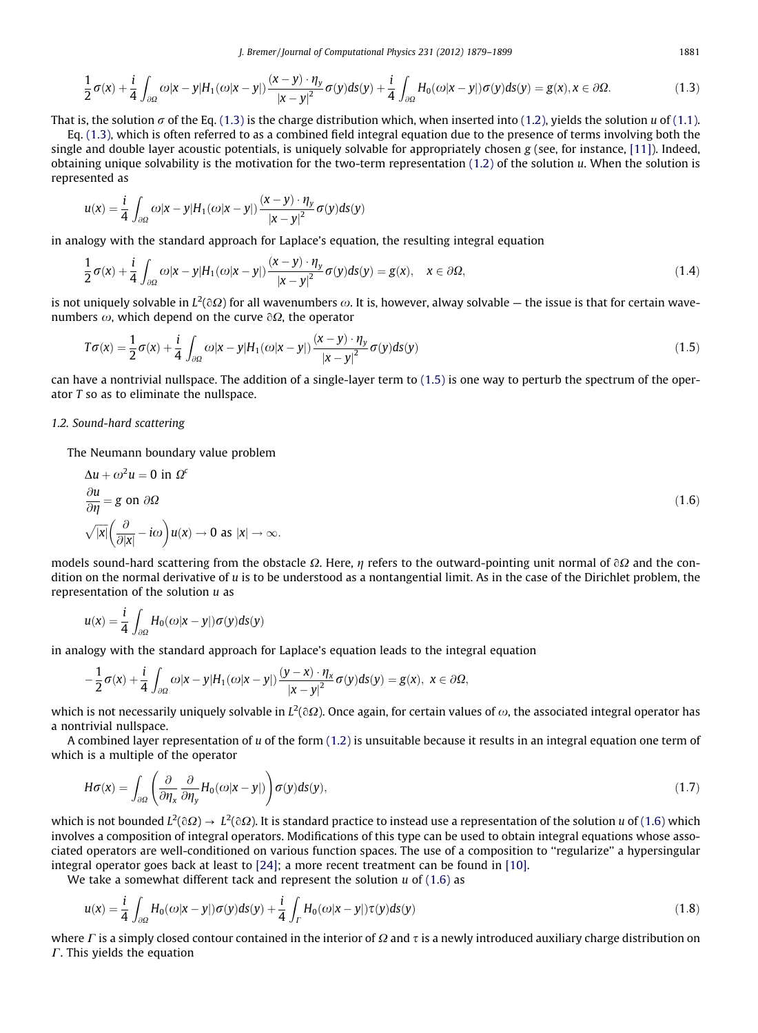<span id="page-2-0"></span>
$$
\frac{1}{2}\sigma(x) + \frac{i}{4}\int_{\partial\Omega}\omega|x-y|H_1(\omega|x-y|)\frac{(x-y)\cdot\eta_y}{|x-y|^2}\sigma(y)ds(y) + \frac{i}{4}\int_{\partial\Omega}H_0(\omega|x-y|)\sigma(y)ds(y) = g(x), x \in \partial\Omega.
$$
\n(1.3)

That is, the solution  $\sigma$  of the Eq. [\(1.3\)](#page-1-0) is the charge distribution which, when inserted into [\(1.2\),](#page-1-0) yields the solution u of [\(1.1\)](#page-1-0).

Eq. [\(1.3\),](#page-1-0) which is often referred to as a combined field integral equation due to the presence of terms involving both the single and double layer acoustic potentials, is uniquely solvable for appropriately chosen  $g$  (see, for instance, [\[11\]](#page-20-0)). Indeed, obtaining unique solvability is the motivation for the two-term representation  $(1.2)$  of the solution  $u$ . When the solution is represented as

$$
u(x) = \frac{i}{4} \int_{\partial \Omega} \omega |x - y| H_1(\omega |x - y|) \frac{(x - y) \cdot \eta_y}{|x - y|^2} \sigma(y) ds(y)
$$

in analogy with the standard approach for Laplace's equation, the resulting integral equation

$$
\frac{1}{2}\sigma(x) + \frac{i}{4}\int_{\partial\Omega}\omega|x-y|H_1(\omega|x-y|)\frac{(x-y)\cdot\eta_y}{|x-y|^2}\sigma(y)ds(y) = g(x), \quad x \in \partial\Omega,
$$
\n(1.4)

is not uniquely solvable in  $L^2(\partial\Omega)$  for all wavenumbers  $\omega$ . It is, however, alway solvable — the issue is that for certain wavenumbers  $\omega$ , which depend on the curve  $\partial\Omega$ , the operator

$$
T\sigma(x) = \frac{1}{2}\sigma(x) + \frac{i}{4}\int_{\partial\Omega}\omega|x-y|H_1(\omega|x-y|)\frac{(x-y)\cdot\eta_y}{|x-y|^2}\sigma(y)ds(y)
$$
\n(1.5)

can have a nontrivial nullspace. The addition of a single-layer term to (1.5) is one way to perturb the spectrum of the operator T so as to eliminate the nullspace.

# 1.2. Sound-hard scattering

The Neumann boundary value problem

$$
\Delta u + \omega^2 u = 0 \text{ in } \Omega^c
$$
  
\n
$$
\frac{\partial u}{\partial \eta} = g \text{ on } \partial \Omega
$$
  
\n
$$
\sqrt{|x|} \left(\frac{\partial}{\partial |x|} - i\omega\right) u(x) \to 0 \text{ as } |x| \to \infty.
$$
\n(1.6)

models sound-hard scattering from the obstacle  $\Omega$ . Here,  $\eta$  refers to the outward-pointing unit normal of  $\partial\Omega$  and the condition on the normal derivative of u is to be understood as a nontangential limit. As in the case of the Dirichlet problem, the representation of the solution  $u$  as

$$
u(x) = \frac{i}{4} \int_{\partial \Omega} H_0(\omega |x - y|) \sigma(y) ds(y)
$$

in analogy with the standard approach for Laplace's equation leads to the integral equation

$$
-\frac{1}{2}\sigma(x)+\frac{i}{4}\int_{\partial\Omega}\omega |x-y|H_1(\omega |x-y|)\frac{(y-x)\cdot \eta_x}{\left|x-y\right|^2}\sigma(y)ds(y)=g(x),\,\,x\in\partial\Omega,
$$

which is not necessarily uniquely solvable in  $L^2(\partial\Omega)$ . Once again, for certain values of  $\omega$ , the associated integral operator has a nontrivial nullspace.

A combined layer representation of u of the form  $(1.2)$  is unsuitable because it results in an integral equation one term of which is a multiple of the operator

$$
H\sigma(x) = \int_{\partial\Omega} \left( \frac{\partial}{\partial \eta_x} \frac{\partial}{\partial \eta_y} H_0(\omega |x - y|) \right) \sigma(y) ds(y),\tag{1.7}
$$

which is not bounded  $L^2(\partial\Omega)\to L^2(\partial\Omega)$ . It is standard practice to instead use a representation of the solution  $u$  of (1.6) which involves a composition of integral operators. Modifications of this type can be used to obtain integral equations whose associated operators are well-conditioned on various function spaces. The use of a composition to ''regularize'' a hypersingular integral operator goes back at least to [\[24\]](#page-20-0); a more recent treatment can be found in [\[10\].](#page-20-0)

We take a somewhat different tack and represent the solution  $u$  of (1.6) as

$$
u(x) = \frac{i}{4} \int_{\partial \Omega} H_0(\omega |x - y|) \sigma(y) ds(y) + \frac{i}{4} \int_{\Gamma} H_0(\omega |x - y|) \tau(y) ds(y)
$$
\n(1.8)

where  $\Gamma$  is a simply closed contour contained in the interior of  $\Omega$  and  $\tau$  is a newly introduced auxiliary charge distribution on  $\Gamma$ . This yields the equation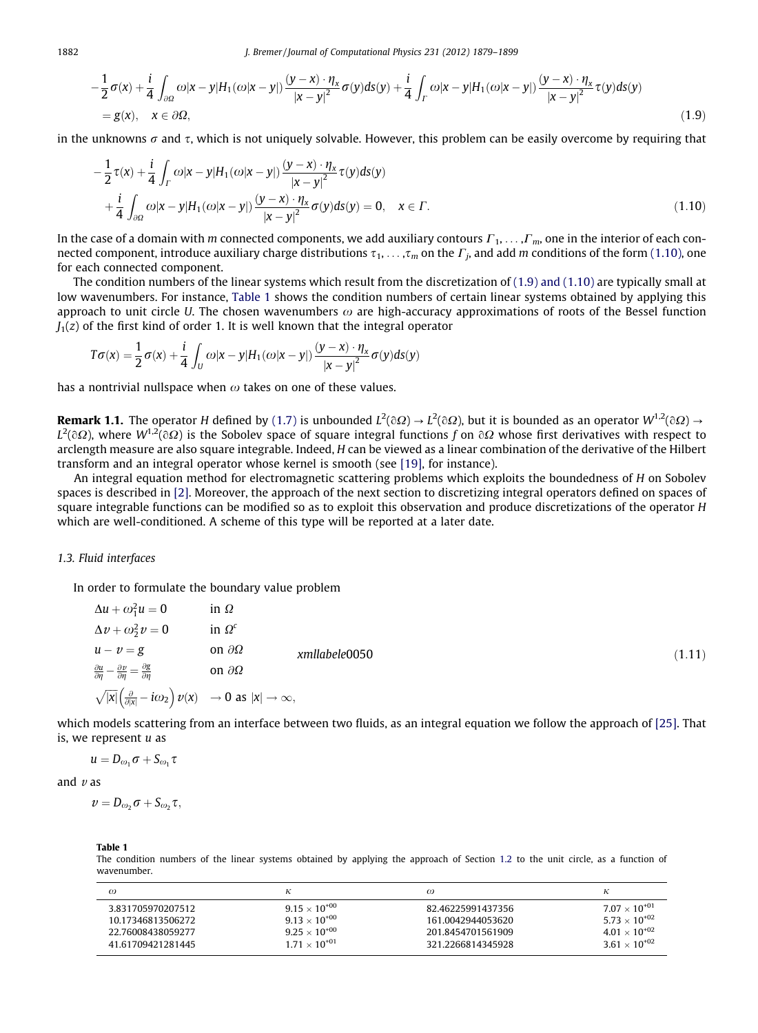$$
-\frac{1}{2}\sigma(x) + \frac{i}{4}\int_{\partial\Omega}\omega|x-y|H_1(\omega|x-y|)\frac{(y-x)\cdot\eta_x}{|x-y|^2}\sigma(y)ds(y) + \frac{i}{4}\int_{\Gamma}\omega|x-y|H_1(\omega|x-y|)\frac{(y-x)\cdot\eta_x}{|x-y|^2}\tau(y)ds(y)
$$
  
= g(x),  $x \in \partial\Omega$ , (1.9)

in the unknowns  $\sigma$  and  $\tau$ , which is not uniquely solvable. However, this problem can be easily overcome by requiring that

$$
-\frac{1}{2}\tau(x) + \frac{i}{4}\int_{\Gamma}\omega|x-y|H_1(\omega|x-y|)\frac{(y-x)\cdot\eta_x}{|x-y|^2}\tau(y)ds(y)
$$
  
+
$$
\frac{i}{4}\int_{\partial\Omega}\omega|x-y|H_1(\omega|x-y|)\frac{(y-x)\cdot\eta_x}{|x-y|^2}\sigma(y)ds(y) = 0, \quad x \in \Gamma.
$$
 (1.10)

In the case of a domain with m connected components, we add auxiliary contours  $\Gamma_1, \ldots, \Gamma_m$ , one in the interior of each connected component, introduce auxiliary charge distributions  $\tau_1, \ldots, \tau_m$  on the  $\Gamma_i$ , and add m conditions of the form (1.10), one for each connected component.

The condition numbers of the linear systems which result from the discretization of  $(1.9)$  and  $(1.10)$  are typically small at low wavenumbers. For instance, Table 1 shows the condition numbers of certain linear systems obtained by applying this approach to unit circle U. The chosen wavenumbers  $\omega$  are high-accuracy approximations of roots of the Bessel function  $J_1(z)$  of the first kind of order 1. It is well known that the integral operator

$$
T\sigma(x) = \frac{1}{2}\sigma(x) + \frac{i}{4}\int_{U}\omega |x-y|H_1(\omega |x-y|)\frac{(y-x)\cdot \eta_x}{|x-y|^2}\sigma(y)ds(y)
$$

has a nontrivial nullspace when  $\omega$  takes on one of these values.

**Remark 1.1.** The operator H defined by [\(1.7\)](#page-2-0) is unbounded  $L^2(\partial\Omega)\to L^2(\partial\Omega)$ , but it is bounded as an operator  $W^{1,2}(\partial\Omega)\to$  $L^2(\partial\Omega)$ , where  $W^{1,2}(\partial\Omega)$  is the Sobolev space of square integral functions f on  $\partial\Omega$  whose first derivatives with respect to arclength measure are also square integrable. Indeed, H can be viewed as a linear combination of the derivative of the Hilbert transform and an integral operator whose kernel is smooth (see [\[19\]](#page-20-0), for instance).

An integral equation method for electromagnetic scattering problems which exploits the boundedness of H on Sobolev spaces is described in [\[2\].](#page-19-0) Moreover, the approach of the next section to discretizing integral operators defined on spaces of square integrable functions can be modified so as to exploit this observation and produce discretizations of the operator H which are well-conditioned. A scheme of this type will be reported at a later date.

# 1.3. Fluid interfaces

In order to formulate the boundary value problem

$$
\Delta u + \omega_1^2 u = 0 \qquad \text{in } \Omega
$$
  
\n
$$
\Delta v + \omega_2^2 v = 0 \qquad \text{in } \Omega^c
$$
  
\n
$$
u - v = g \qquad \text{on } \partial \Omega \qquad \text{amllabeled050}
$$
  
\n
$$
\frac{\partial u}{\partial \eta} - \frac{\partial v}{\partial \eta} = \frac{\partial g}{\partial \eta} \qquad \text{on } \partial \Omega
$$
  
\n
$$
\sqrt{|X|} \left(\frac{\partial}{\partial |X|} - i\omega_2\right) v(X) \to 0 \text{ as } |X| \to \infty,
$$
\n(1.11)

which models scattering from an interface between two fluids, as an integral equation we follow the approach of [\[25\]](#page-20-0). That is, we represent  $u$  as

$$
u=D_{\omega_1}\sigma+S_{\omega_1}\tau
$$

and  $\nu$  as

$$
\nu = D_{\omega_2} \sigma + S_{\omega_2} \tau,
$$

Table 1

The condition numbers of the linear systems obtained by applying the approach of Section 1.2 to the unit circle, as a function of wavenumber.

| $9.15 \times 10^{+00}$<br>3.831705970207512<br>82.46225991437356<br>$9.13 \times 10^{+00}$<br>10.17346813506272<br>161.0042944053620 | $\omega$          | к                      | $\omega$          |                                                                                                               |
|--------------------------------------------------------------------------------------------------------------------------------------|-------------------|------------------------|-------------------|---------------------------------------------------------------------------------------------------------------|
| $1.71 \times 10^{+01}$<br>321.2266814345928<br>41.61709421281445                                                                     | 22.76008438059277 | $9.25 \times 10^{+00}$ | 201.8454701561909 | $7.07 \times 10^{+01}$<br>$5.73 \times 10^{+02}$<br>$4.01 \times 10^{+02}$<br>3.61 $\times$ 10 <sup>+02</sup> |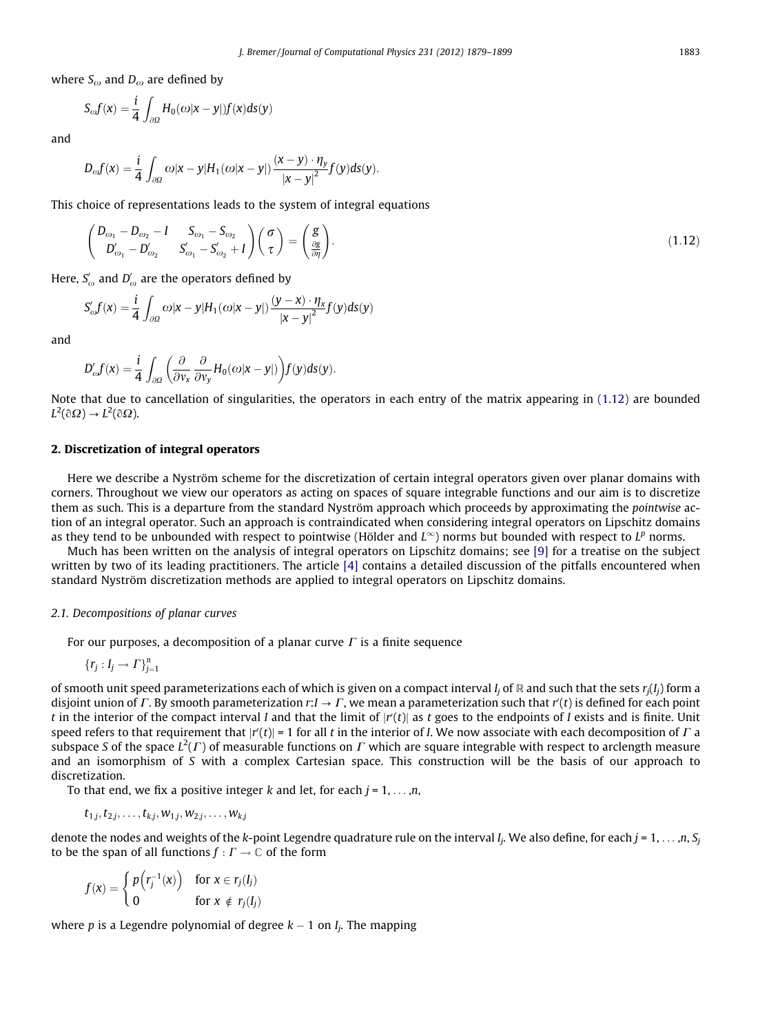<span id="page-4-0"></span>where  $S_{\alpha}$  and  $D_{\alpha}$  are defined by

$$
S_{\omega}f(x) = \frac{i}{4} \int_{\partial \Omega} H_0(\omega | x - y|) f(x) ds(y)
$$

and

$$
D_{\omega}f(x) = \frac{i}{4} \int_{\partial\Omega} \omega |x - y| H_1(\omega |x - y|) \frac{(x - y) \cdot \eta_y}{|x - y|^2} f(y) ds(y).
$$

This choice of representations leads to the system of integral equations

$$
\begin{pmatrix} D_{\omega_1} - D_{\omega_2} - I & S_{\omega_1} - S_{\omega_2} \ D'_{\omega_1} - D'_{\omega_2} & S'_{\omega_1} - S'_{\omega_2} + I \end{pmatrix} \begin{pmatrix} \sigma \\ \tau \end{pmatrix} = \begin{pmatrix} g \\ \frac{\partial g}{\partial \eta} \end{pmatrix}.
$$
\n(1.12)

Here,  $S_\omega'$  and  $D_\omega'$  are the operators defined by

$$
S'_{\omega}f(x) = \frac{i}{4} \int_{\partial \Omega} \omega |x - y| H_1(\omega |x - y|) \frac{(y - x) \cdot \eta_x}{|x - y|^2} f(y) ds(y)
$$

and

$$
D'_{\omega}f(x) = \frac{i}{4} \int_{\partial \Omega} \left( \frac{\partial}{\partial v_x} \frac{\partial}{\partial v_y} H_0(\omega |x - y|) \right) f(y) ds(y).
$$

Note that due to cancellation of singularities, the operators in each entry of the matrix appearing in (1.12) are bounded  $L^2(\partial\Omega)\to L^2(\partial\Omega).$ 

## 2. Discretization of integral operators

Here we describe a Nyström scheme for the discretization of certain integral operators given over planar domains with corners. Throughout we view our operators as acting on spaces of square integrable functions and our aim is to discretize them as such. This is a departure from the standard Nyström approach which proceeds by approximating the pointwise action of an integral operator. Such an approach is contraindicated when considering integral operators on Lipschitz domains as they tend to be unbounded with respect to pointwise (Hölder and  $L^{\infty}$ ) norms but bounded with respect to  $L^p$  norms.

Much has been written on the analysis of integral operators on Lipschitz domains; see [\[9\]](#page-20-0) for a treatise on the subject written by two of its leading practitioners. The article [\[4\]](#page-19-0) contains a detailed discussion of the pitfalls encountered when standard Nyström discretization methods are applied to integral operators on Lipschitz domains.

#### 2.1. Decompositions of planar curves

For our purposes, a decomposition of a planar curve  $\Gamma$  is a finite sequence

$$
\{r_j: I_j \to \Gamma\}_{j=1}^n
$$

of smooth unit speed parameterizations each of which is given on a compact interval  $I_i$  of R and such that the sets  $r_i(I_i)$  form a disjoint union of  $\varGamma.$  By smooth parameterization  $r:I\to\varGamma,$  we mean a parameterization such that  $r'(t)$  is defined for each point t in the interior of the compact interval I and that the limit of  $|r'(t)|$  as t goes to the endpoints of I exists and is finite. Unit speed refers to that requirement that  $|r'(t)|$  = 1 for all t in the interior of I. We now associate with each decomposition of  $\Gamma$  a subspace S of the space  $L^2(\Gamma)$  of measurable functions on  $\Gamma$  which are square integrable with respect to arclength measure and an isomorphism of S with a complex Cartesian space. This construction will be the basis of our approach to discretization.

To that end, we fix a positive integer k and let, for each  $j = 1, \ldots, n$ ,

$$
t_{1,j},t_{2,j},\ldots,t_{k,j},w_{1,j},w_{2,j},\ldots,w_{kj}
$$

denote the nodes and weights of the k-point Legendre quadrature rule on the interval  $I_i$ . We also define, for each  $j = 1, \ldots, n$ ,  $S_i$ to be the span of all functions  $f: \Gamma \to \mathbb{C}$  of the form

$$
f(x) = \begin{cases} p(r_j^{-1}(x)) & \text{for } x \in r_j(I_j) \\ 0 & \text{for } x \notin r_j(I_j) \end{cases}
$$

where p is a Legendre polynomial of degree  $k - 1$  on  $I_i$ . The mapping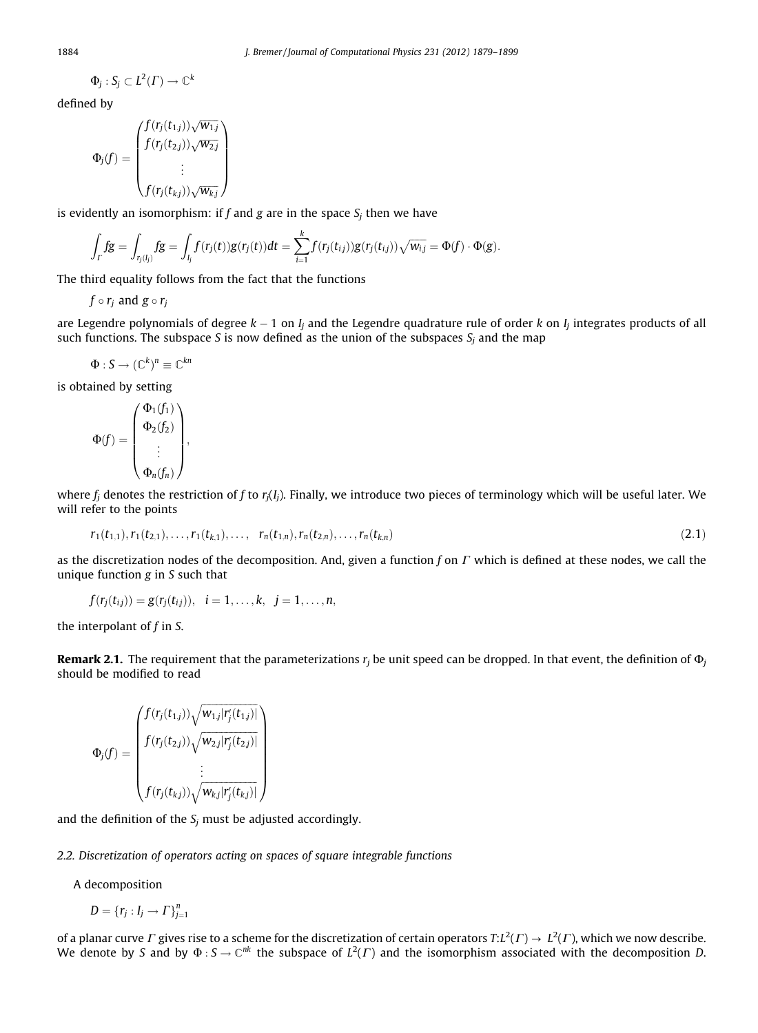$$
\Phi_j: S_j \subset L^2(\Gamma) \to \mathbb{C}^k
$$

<span id="page-5-0"></span>defined by

$$
\Phi_j(f) = \begin{pmatrix} f(r_j(t_{1,j}))\sqrt{w_{1,j}} \\ f(r_j(t_{2,j}))\sqrt{w_{2,j}} \\ \vdots \\ f(r_j(t_{kj}))\sqrt{w_{kj}} \end{pmatrix}
$$

is evidently an isomorphism: if f and g are in the space  $S_i$  then we have

$$
\int_{\Gamma} fg = \int_{r_j(l_j)} fg = \int_{l_j} f(r_j(t))g(r_j(t))dt = \sum_{i=1}^k f(r_j(t_{i,j}))g(r_j(t_{i,j})) \sqrt{w_{i,j}} = \Phi(f) \cdot \Phi(g).
$$

The third equality follows from the fact that the functions

$$
f \circ r_j
$$
 and  $g \circ r_j$ 

are Legendre polynomials of degree  $k-1$  on  $I_i$  and the Legendre quadrature rule of order k on  $I_i$  integrates products of all such functions. The subspace S is now defined as the union of the subspaces  $S_i$  and the map

$$
\Phi:\mathsf{S}\to (\mathbb{C}^k)^n\equiv \mathbb{C}^{kn}
$$

is obtained by setting

$$
\Phi(f) = \begin{pmatrix} \Phi_1(f_1) \\ \Phi_2(f_2) \\ \vdots \\ \Phi_n(f_n) \end{pmatrix},
$$

where  $f_i$  denotes the restriction of f to  $r_i(I_i)$ . Finally, we introduce two pieces of terminology which will be useful later. We will refer to the points

$$
r_1(t_{1,1}), r_1(t_{2,1}), \ldots, r_1(t_{k,1}), \ldots, r_n(t_{1,n}), r_n(t_{2,n}), \ldots, r_n(t_{k,n})
$$
\n(2.1)

as the discretization nodes of the decomposition. And, given a function  $f$  on  $\Gamma$  which is defined at these nodes, we call the unique function g in S such that

$$
f(r_j(t_{ij})) = g(r_j(t_{ij})), \quad i = 1, \ldots, k, \quad j = 1, \ldots, n,
$$

the interpolant of  $f$  in  $S$ .

**Remark 2.1.** The requirement that the parameterizations  $r_i$  be unit speed can be dropped. In that event, the definition of  $\Phi_i$ should be modified to read

$$
\Phi_j(f) = \begin{pmatrix} f(r_j(t_{1,j})) \sqrt{w_{1,j}|r'_j(t_{1,j})|} \\ f(r_j(t_{2,j})) \sqrt{w_{2,j}|r'_j(t_{2,j})|} \\ \vdots \\ f(r_j(t_{kj})) \sqrt{w_{kj}|r'_j(t_{kj})|} \end{pmatrix}
$$

and the definition of the  $S_i$  must be adjusted accordingly.

2.2. Discretization of operators acting on spaces of square integrable functions

A decomposition

$$
D=\{r_j: I_j\to\Gamma\}_{j=1}^n
$$

of a planar curve  $\Gamma$  gives rise to a scheme for the discretization of certain operators  $T:L^2(\Gamma)\to L^2(\Gamma)$ , which we now describe. We denote by S and by  $\Phi: S \to \mathbb{C}^{nk}$  the subspace of  $L^2(\Gamma)$  and the isomorphism associated with the decomposition D.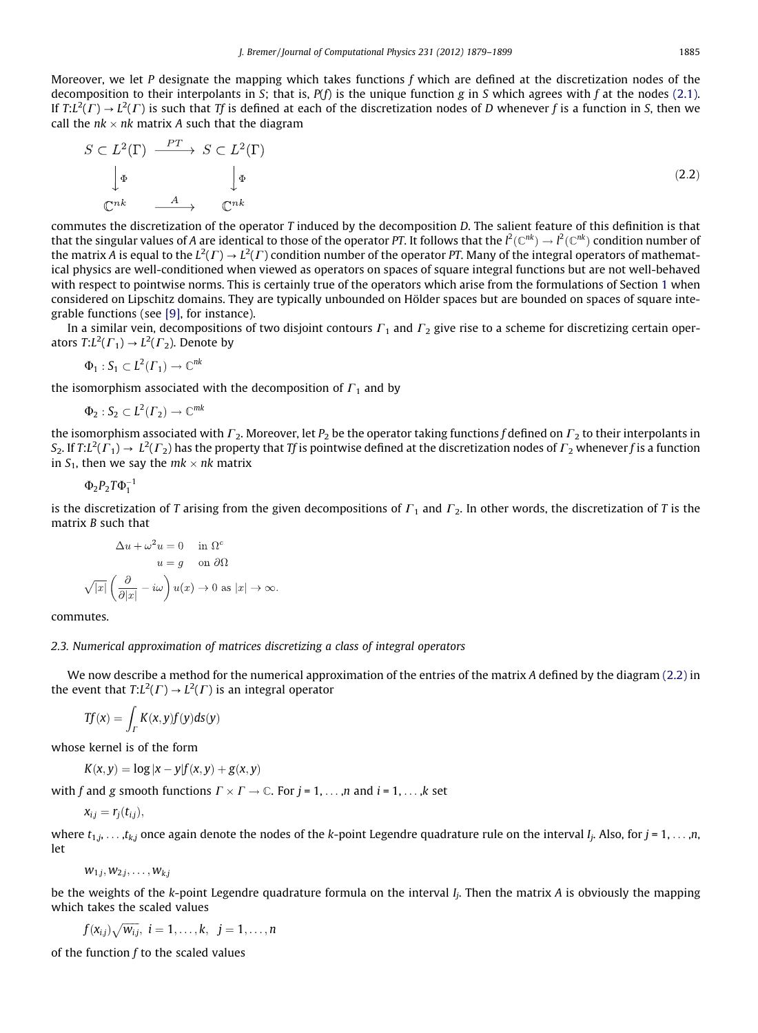Moreover, we let P designate the mapping which takes functions f which are defined at the discretization nodes of the decomposition to their interpolants in S; that is,  $P(f)$  is the unique function g in S which agrees with f at the nodes [\(2.1\)](#page-5-0). If T:L<sup>2</sup>(T)  $\to$  L<sup>2</sup>(T) is such that Tf is defined at each of the discretization nodes of D whenever f is a function in S, then we call the  $nk \times nk$  matrix A such that the diagram

$$
S \subset L^{2}(\Gamma) \xrightarrow{\quad PT} S \subset L^{2}(\Gamma)
$$
  
\n
$$
\downarrow \Phi \qquad \qquad \downarrow \Phi
$$
  
\n
$$
\mathbb{C}^{nk} \xrightarrow{\quad A} \qquad \mathbb{C}^{nk}
$$
 (2.2)

commutes the discretization of the operator T induced by the decomposition D. The salient feature of this definition is that that the singular values of A are identical to those of the operator PT. It follows that the  $l^2(\mathbb C^{nk})\to l^2(\mathbb C^{nk})$  condition number of the matrix A is equal to the  $L^2(\Gamma)\to L^2(\Gamma)$  condition number of the operator PT. Many of the integral operators of mathematical physics are well-conditioned when viewed as operators on spaces of square integral functions but are not well-behaved with respect to pointwise norms. This is certainly true of the operators which arise from the formulations of Section 1 when considered on Lipschitz domains. They are typically unbounded on Hölder spaces but are bounded on spaces of square integrable functions (see [\[9\]](#page-20-0), for instance).

In a similar vein, decompositions of two disjoint contours  $\Gamma_1$  and  $\Gamma_2$  give rise to a scheme for discretizing certain operators  $T L^2(\Gamma_1) \rightarrow L^2(\Gamma_2)$ . Denote by

$$
\Phi_1: S_1 \subset L^2(\Gamma_1) \to \mathbb{C}^{nk}
$$

the isomorphism associated with the decomposition of  $\Gamma_1$  and by

$$
\Phi_2: S_2 \subset L^2(\Gamma_2) \to \mathbb{C}^{mk}
$$

the isomorphism associated with  $\Gamma_2$ . Moreover, let  $P_2$  be the operator taking functions f defined on  $\Gamma_2$  to their interpolants in S<sub>2</sub>. If T:L<sup>2</sup>(  $\varGamma_1)\to L^2(\varGamma_2)$  has the property that Tf is pointwise defined at the discretization nodes of  $\varGamma_2$  whenever f is a function in  $S_1$ , then we say the  $mk \times nk$  matrix

$$
\Phi_2 P_2 T \Phi_1^{-1}
$$

is the discretization of T arising from the given decompositions of  $\Gamma_1$  and  $\Gamma_2$ . In other words, the discretization of T is the matrix B such that

$$
\Delta u + \omega^2 u = 0 \quad \text{in } \Omega^c
$$

$$
u = g \quad \text{on } \partial\Omega
$$

$$
\sqrt{|x|} \left(\frac{\partial}{\partial |x|} - i\omega\right) u(x) \to 0 \text{ as } |x| \to \infty
$$

commutes.

#### 2.3. Numerical approximation of matrices discretizing a class of integral operators

We now describe a method for the numerical approximation of the entries of the matrix A defined by the diagram (2.2) in the event that  $T L^2(\Gamma) \rightarrow L^2(\Gamma)$  is an integral operator

$$
Tf(x) = \int_{\Gamma} K(x, y) f(y) ds(y)
$$

whose kernel is of the form

$$
K(x, y) = \log |x - y| f(x, y) + g(x, y)
$$

with f and g smooth functions  $\Gamma \times \Gamma \to \mathbb{C}$ . For  $j = 1, \ldots, n$  and  $i = 1, \ldots, k$  set

$$
x_{ij}=r_j(t_{ij}),
$$

where  $t_{1,j},...,t_{k,j}$  once again denote the nodes of the k-point Legendre quadrature rule on the interval  $I_i$ . Also, for  $j = 1,...,n$ , let

 $w_{1,j}, w_{2,j}, \ldots, w_{k,j}$ 

be the weights of the k-point Legendre quadrature formula on the interval  $I_i$ . Then the matrix A is obviously the mapping which takes the scaled values

$$
f(x_{ij})\sqrt{w_{ij}},\ i=1,\ldots,k,\ j=1,\ldots,n
$$

of the function f to the scaled values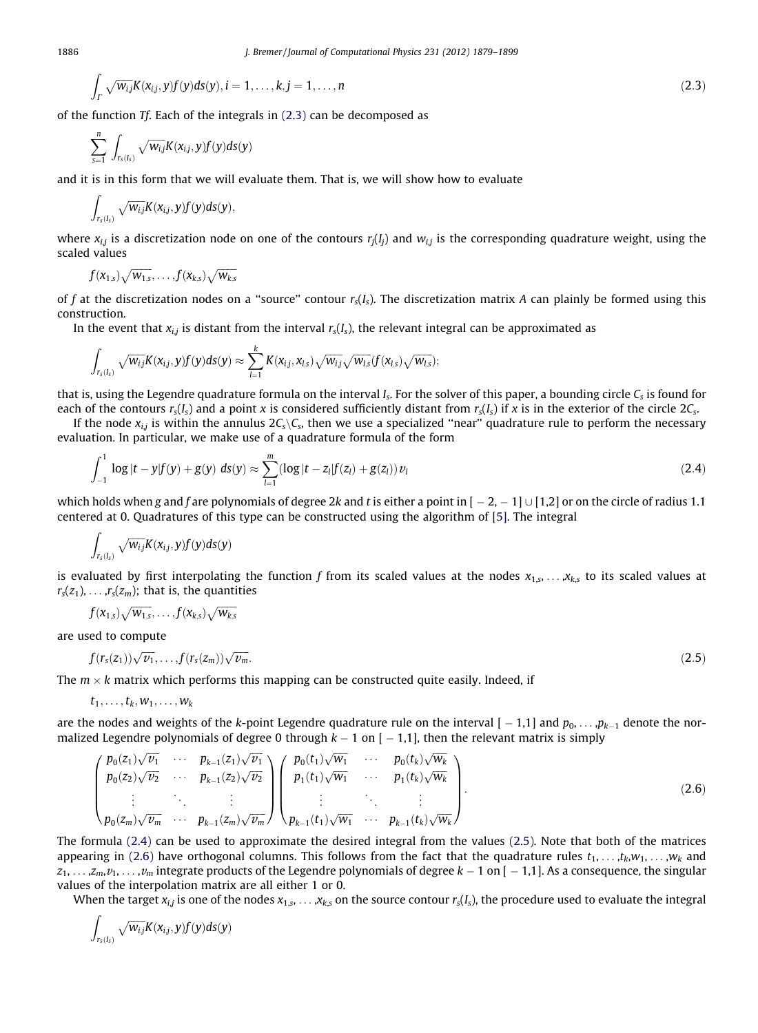<span id="page-7-0"></span>
$$
\int_{\Gamma} \sqrt{w_{ij}} K(x_{ij}, y) f(y) ds(y), i = 1, \dots, k, j = 1, \dots, n
$$
\n(2.3)

of the function Tf. Each of the integrals in (2.3) can be decomposed as

$$
\sum_{s=1}^n \int_{r_s(I_s)} \sqrt{w_{ij}} K(x_{i,j},y) f(y) ds(y)
$$

and it is in this form that we will evaluate them. That is, we will show how to evaluate

$$
\int_{r_s(I_s)} \sqrt{w_{ij}} K(x_{ij},y) f(y) ds(y),
$$

where  $x_{i,j}$  is a discretization node on one of the contours  $r_j(I_j)$  and  $w_{i,j}$  is the corresponding quadrature weight, using the scaled values

$$
f(x_{1,s})\sqrt{w_{1,s}},\ldots,f(x_{k,s})\sqrt{w_{k,s}}
$$

of f at the discretization nodes on a "source" contour  $r_s(I_s)$ . The discretization matrix A can plainly be formed using this construction.

In the event that  $x_{i,j}$  is distant from the interval  $r_s(I_s)$ , the relevant integral can be approximated as

$$
\int_{r_s(I_s)} \sqrt{w_{i,j}} K(x_{i,j},y) f(y) ds(y) \approx \sum_{l=1}^k K(x_{i,j},x_{l,s}) \sqrt{w_{i,j}} \sqrt{w_{l,s}} (f(x_{l,s}) \sqrt{w_{l,s}});
$$

that is, using the Legendre quadrature formula on the interval  $I_s$ . For the solver of this paper, a bounding circle  $C_s$  is found for each of the contours  $r_s(I_s)$  and a point x is considered sufficiently distant from  $r_s(I_s)$  if x is in the exterior of the circle 2C<sub>s</sub>.

If the node  $x_{i,j}$  is within the annulus  $2C_s\setminus C_s$ , then we use a specialized "near" quadrature rule to perform the necessary evaluation. In particular, we make use of a quadrature formula of the form

$$
\int_{-1}^{1} \log|t - y|f(y) + g(y) ds(y) \approx \sum_{l=1}^{m} (\log|t - z_l|f(z_l) + g(z_l)) v_l \tag{2.4}
$$

which holds when g and f are polynomials of degree 2k and t is either a point in  $[-2, -1] \cup [1,2]$  or on the circle of radius 1.1 centered at 0. Quadratures of this type can be constructed using the algorithm of [\[5\]](#page-19-0). The integral

$$
\int_{r_s(I_s)} \sqrt{w_{ij}} K(x_{ij},y) f(y) ds(y)
$$

is evaluated by first interpolating the function f from its scaled values at the nodes  $x_{1,s},...,x_{k,s}$  to its scaled values at  $r_s(z_1), \ldots, r_s(z_m)$ ; that is, the quantities

$$
f(x_{1,s})\sqrt{w_{1,s}},\ldots,f(x_{k,s})\sqrt{w_{k,s}}
$$

are used to compute

$$
f(r_s(z_1))\sqrt{\nu_1},\ldots,f(r_s(z_m))\sqrt{\nu_m}.
$$
\n(2.5)

The  $m \times k$  matrix which performs this mapping can be constructed quite easily. Indeed, if

$$
t_1,\ldots,t_k,w_1,\ldots,w_k
$$

are the nodes and weights of the k-point Legendre quadrature rule on the interval  $[-1,1]$  and  $p_0, \ldots, p_{k-1}$  denote the normalized Legendre polynomials of degree 0 through  $k - 1$  on  $[-1,1]$ , then the relevant matrix is simply

$$
\begin{pmatrix} p_0(z_1)\sqrt{v_1} & \cdots & p_{k-1}(z_1)\sqrt{v_1} \\ p_0(z_2)\sqrt{v_2} & \cdots & p_{k-1}(z_2)\sqrt{v_2} \\ \vdots & \ddots & \vdots \\ p_0(z_m)\sqrt{v_m} & \cdots & p_{k-1}(z_m)\sqrt{v_m} \end{pmatrix} \begin{pmatrix} p_0(t_1)\sqrt{w_1} & \cdots & p_0(t_k)\sqrt{w_k} \\ p_1(t_1)\sqrt{w_1} & \cdots & p_1(t_k)\sqrt{w_k} \\ \vdots & \ddots & \vdots \\ p_{k-1}(t_1)\sqrt{w_1} & \cdots & p_{k-1}(t_k)\sqrt{w_k} \end{pmatrix} .
$$
 (2.6)

The formula (2.4) can be used to approximate the desired integral from the values (2.5). Note that both of the matrices appearing in (2.6) have orthogonal columns. This follows from the fact that the quadrature rules  $t_1, \ldots, t_k, w_1, \ldots, w_k$  and  $z_1, \ldots, z_m, v_1, \ldots, v_m$  integrate products of the Legendre polynomials of degree  $k - 1$  on  $[-1,1]$ . As a consequence, the singular values of the interpolation matrix are all either 1 or 0.

When the target  $x_{i,j}$  is one of the nodes  $x_{1,s},...,x_{k,s}$  on the source contour  $r_s(I_s)$ , the procedure used to evaluate the integral

$$
\int_{r_s(I_s)} \sqrt{w_{i,j}} K(x_{i,j},y) f(y) ds(y)
$$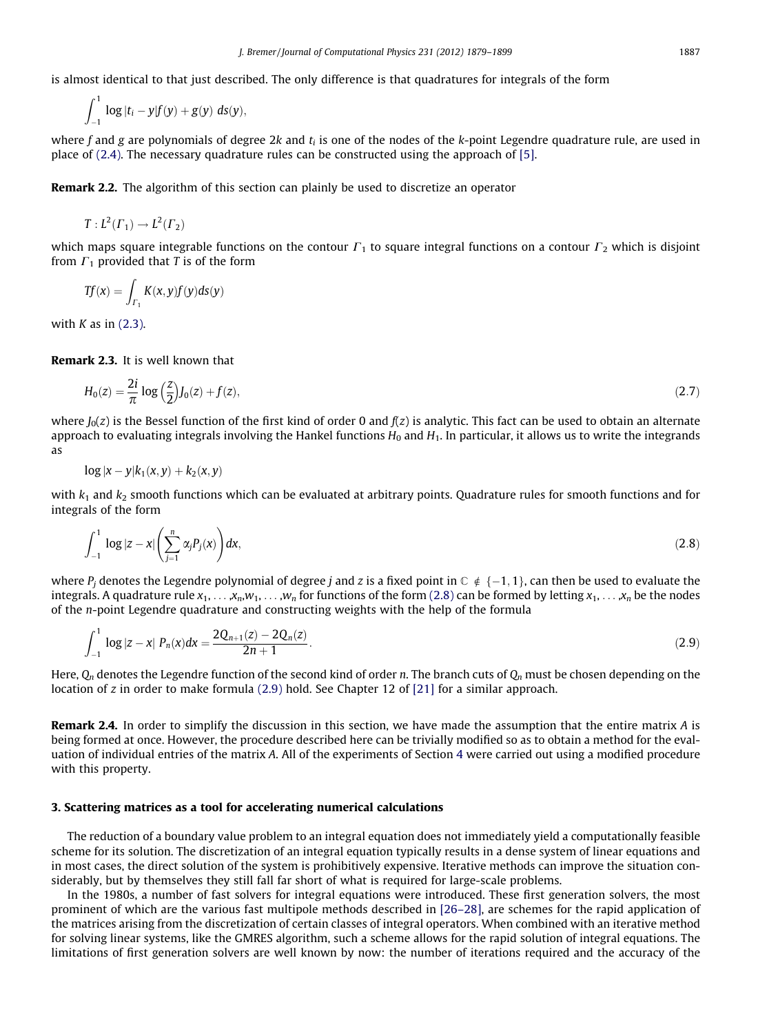is almost identical to that just described. The only difference is that quadratures for integrals of the form

$$
\int_{-1}^1 \log |t_i - y| f(y) + g(y) \, ds(y),
$$

where f and g are polynomials of degree 2k and  $t_i$  is one of the nodes of the k-point Legendre quadrature rule, are used in place of  $(2.4)$ . The necessary quadrature rules can be constructed using the approach of [\[5\].](#page-19-0)

Remark 2.2. The algorithm of this section can plainly be used to discretize an operator

$$
T:L^2(\Gamma_1)\to L^2(\Gamma_2)
$$

which maps square integrable functions on the contour  $\Gamma_1$  to square integral functions on a contour  $\Gamma_2$  which is disjoint from  $\Gamma_1$  provided that T is of the form

$$
Tf(x) = \int_{\Gamma_1} K(x, y) f(y) ds(y)
$$

with  $K$  as in  $(2.3)$ .

Remark 2.3. It is well known that

$$
H_0(z) = \frac{2i}{\pi} \log \left(\frac{z}{2}\right) J_0(z) + f(z),\tag{2.7}
$$

where  $J_0(z)$  is the Bessel function of the first kind of order 0 and  $f(z)$  is analytic. This fact can be used to obtain an alternate approach to evaluating integrals involving the Hankel functions  $H_0$  and  $H_1$ . In particular, it allows us to write the integrands as

 $\log |x - y|k_1(x, y) + k_2(x, y)$ 

with  $k_1$  and  $k_2$  smooth functions which can be evaluated at arbitrary points. Quadrature rules for smooth functions and for integrals of the form

$$
\int_{-1}^{1} \log |z - x| \left( \sum_{j=1}^{n} \alpha_j P_j(x) \right) dx,\tag{2.8}
$$

where  $P_i$  denotes the Legendre polynomial of degree j and z is a fixed point in  $C \notin \{-1,1\}$ , can then be used to evaluate the integrals. A quadrature rule  $x_1, \ldots, x_n, w_1, \ldots, w_n$  for functions of the form (2.8) can be formed by letting  $x_1, \ldots, x_n$  be the nodes of the n-point Legendre quadrature and constructing weights with the help of the formula

$$
\int_{-1}^{1} \log |z - x| \ P_n(x) dx = \frac{2Q_{n+1}(z) - 2Q_n(z)}{2n+1}.
$$
 (2.9)

Here,  $Q_n$  denotes the Legendre function of the second kind of order n. The branch cuts of  $Q_n$  must be chosen depending on the location of z in order to make formula (2.9) hold. See Chapter 12 of [\[21\]](#page-20-0) for a similar approach.

Remark 2.4. In order to simplify the discussion in this section, we have made the assumption that the entire matrix A is being formed at once. However, the procedure described here can be trivially modified so as to obtain a method for the evaluation of individual entries of the matrix A. All of the experiments of Section 4 were carried out using a modified procedure with this property.

# 3. Scattering matrices as a tool for accelerating numerical calculations

The reduction of a boundary value problem to an integral equation does not immediately yield a computationally feasible scheme for its solution. The discretization of an integral equation typically results in a dense system of linear equations and in most cases, the direct solution of the system is prohibitively expensive. Iterative methods can improve the situation considerably, but by themselves they still fall far short of what is required for large-scale problems.

In the 1980s, a number of fast solvers for integral equations were introduced. These first generation solvers, the most prominent of which are the various fast multipole methods described in [\[26–28\],](#page-20-0) are schemes for the rapid application of the matrices arising from the discretization of certain classes of integral operators. When combined with an iterative method for solving linear systems, like the GMRES algorithm, such a scheme allows for the rapid solution of integral equations. The limitations of first generation solvers are well known by now: the number of iterations required and the accuracy of the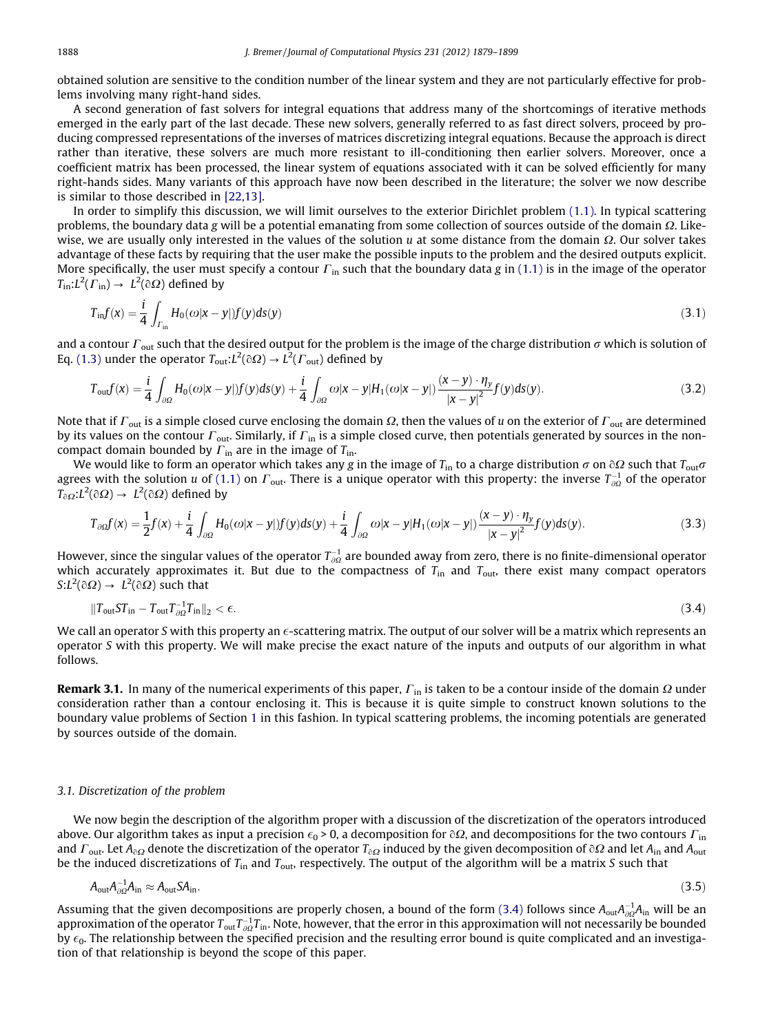<span id="page-9-0"></span>obtained solution are sensitive to the condition number of the linear system and they are not particularly effective for problems involving many right-hand sides.

A second generation of fast solvers for integral equations that address many of the shortcomings of iterative methods emerged in the early part of the last decade. These new solvers, generally referred to as fast direct solvers, proceed by producing compressed representations of the inverses of matrices discretizing integral equations. Because the approach is direct rather than iterative, these solvers are much more resistant to ill-conditioning then earlier solvers. Moreover, once a coefficient matrix has been processed, the linear system of equations associated with it can be solved efficiently for many right-hands sides. Many variants of this approach have now been described in the literature; the solver we now describe is similar to those described in [\[22,13\]](#page-20-0).

In order to simplify this discussion, we will limit ourselves to the exterior Dirichlet problem [\(1.1\).](#page-1-0) In typical scattering problems, the boundary data g will be a potential emanating from some collection of sources outside of the domain  $\Omega$ . Likewise, we are usually only interested in the values of the solution u at some distance from the domain  $\Omega$ . Our solver takes advantage of these facts by requiring that the user make the possible inputs to the problem and the desired outputs explicit. More specifically, the user must specify a contour  $\Gamma_{\text{in}}$  such that the boundary data g in [\(1.1\)](#page-1-0) is in the image of the operator  $T_{\text{in}}: L^2(\Gamma_{\text{in}}) \to L^2(\partial\Omega)$  defined by

$$
T_{\rm inf}(x) = \frac{i}{4} \int_{\Gamma_{\rm in}} H_0(\omega |x - y|) f(y) ds(y)
$$
\n(3.1)

and a contour  $\Gamma_{\text{out}}$  such that the desired output for the problem is the image of the charge distribution  $\sigma$  which is solution of Eq. [\(1.3\)](#page-1-0) under the operator  $T_{\text{out}}:L^2(\partial\Omega)\to L^2(\Gamma_{\text{out}})$  defined by

$$
T_{\text{out}}f(x) = \frac{i}{4} \int_{\partial\Omega} H_0(\omega|x-y|)f(y)ds(y) + \frac{i}{4} \int_{\partial\Omega} \omega|x-y|H_1(\omega|x-y|) \frac{(x-y)\cdot\eta_y}{|x-y|^2}f(y)ds(y).
$$
\n(3.2)

Note that if  $\Gamma_{\text{out}}$  is a simple closed curve enclosing the domain  $\Omega$ , then the values of u on the exterior of  $\Gamma_{\text{out}}$  are determined by its values on the contour  $\Gamma_{\text{out}}$ . Similarly, if  $\Gamma_{\text{in}}$  is a simple closed curve, then potentials generated by sources in the noncompact domain bounded by  $\Gamma_{\text{in}}$  are in the image of  $T_{\text{in}}$ .

We would like to form an operator which takes any g in the image of T<sub>in</sub> to a charge distribution  $\sigma$  on  $\partial\Omega$  such that T<sub>out</sub> $\sigma$ agrees with the solution u of [\(1.1\)](#page-1-0) on  $\Gamma_{\rm out}$ . There is a unique operator with this property: the inverse  $T_{\partial\Omega}^{-1}$  of the operator  $T_{\partial\Omega}: L^2(\partial\Omega) \to L^2(\partial\Omega)$  defined by

$$
T_{\partial\Omega}f(x) = \frac{1}{2}f(x) + \frac{i}{4}\int_{\partial\Omega}H_0(\omega|x-y|)f(y)ds(y) + \frac{i}{4}\int_{\partial\Omega}\omega|x-y|H_1(\omega|x-y|)\frac{(x-y)\cdot\eta_y}{|x-y|^2}f(y)ds(y).
$$
\n(3.3)

However, since the singular values of the operator  $T_{\partial\Omega}^{-1}$  are bounded away from zero, there is no finite-dimensional operator which accurately approximates it. But due to the compactness of  $T_{\text{in}}$  and  $T_{\text{out}}$ , there exist many compact operators  $S:L^2(\partial\Omega)\to L^2(\partial\Omega)$  such that

$$
||T_{\text{out}}ST_{\text{in}} - T_{\text{out}}T_{\partial\Omega}^{-1}T_{\text{in}}||_2 < \epsilon.
$$
\n
$$
(3.4)
$$

We call an operator S with this property an  $\epsilon$ -scattering matrix. The output of our solver will be a matrix which represents an operator S with this property. We will make precise the exact nature of the inputs and outputs of our algorithm in what follows.

**Remark 3.1.** In many of the numerical experiments of this paper,  $\Gamma$ <sub>in</sub> is taken to be a contour inside of the domain  $\Omega$  under consideration rather than a contour enclosing it. This is because it is quite simple to construct known solutions to the boundary value problems of Section 1 in this fashion. In typical scattering problems, the incoming potentials are generated by sources outside of the domain.

#### 3.1. Discretization of the problem

We now begin the description of the algorithm proper with a discussion of the discretization of the operators introduced above. Our algorithm takes as input a precision  $\epsilon_0$  > 0, a decomposition for  $\partial\Omega$ , and decompositions for the two contours  $\Gamma_{\rm in}$ and  $\Gamma_{\text{out}}$ . Let  $A_{\alpha\alpha}$  denote the discretization of the operator  $T_{\alpha\alpha}$  induced by the given decomposition of  $\alpha\Omega$  and let  $A_{\text{in}}$  and  $A_{\text{out}}$ be the induced discretizations of  $T_{\text{in}}$  and  $T_{\text{out}}$ , respectively. The output of the algorithm will be a matrix S such that

$$
A_{\text{out}}A_{\partial\Omega}^{-1}A_{\text{in}} \approx A_{\text{out}}SA_{\text{in}}.\tag{3.5}
$$

Assuming that the given decompositions are properly chosen, a bound of the form (3.4) follows since  $A_{\rm out}A_{\partial\Omega}^{-1}A_{\rm in}$  will be an approximation of the operator  $T_{\rm out}T_{\partial\Omega}^{-1}T_{\rm in}$ . Note, however, that the error in this approximation will not necessarily be bounded by  $\epsilon_0$ . The relationship between the specified precision and the resulting error bound is quite complicated and an investigation of that relationship is beyond the scope of this paper.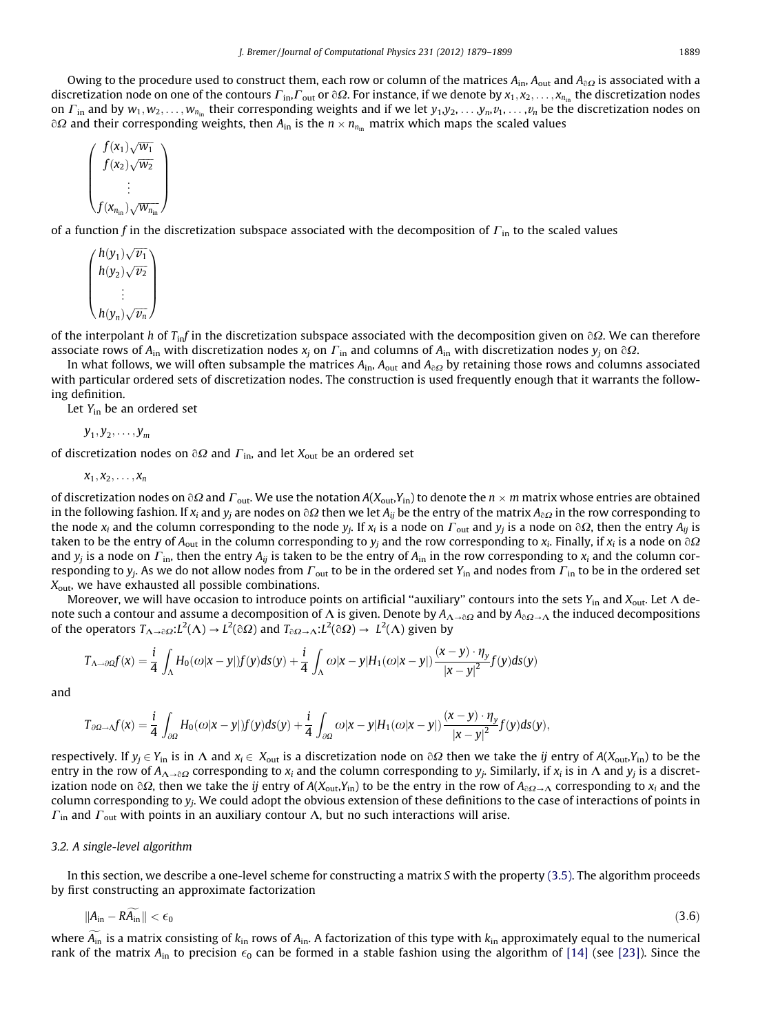<span id="page-10-0"></span>Owing to the procedure used to construct them, each row or column of the matrices  $A_{in}$ ,  $A_{out}$  and  $A_{\partial\Omega}$  is associated with a discretization node on one of the contours  $\Gamma_{\text{in}}\Gamma_{\text{out}}$  or  $\partial\Omega$ . For instance, if we denote by  $x_1, x_2, \ldots, x_{n_{\text{in}}}$  the discretization nodes on  $\Gamma$ <sub>in</sub> and by  $w_1, w_2, \ldots, w_{n_{\text{in}}}$  their corresponding weights and if we let  $y_1, y_2, \ldots, y_n, v_1, \ldots, v_n$  be the discretization nodes on  $\partial\Omega$  and their corresponding weights, then  $A_{in}$  is the  $n \times n_{n_{in}}$  matrix which maps the scaled values

$$
\begin{pmatrix}\nf(x_1)\sqrt{w_1} \\
f(x_2)\sqrt{w_2} \\
\vdots \\
f(x_{n_{\text{in}}})\sqrt{w_{n_{\text{in}}}}\n\end{pmatrix}
$$

of a function f in the discretization subspace associated with the decomposition of  $\Gamma_{\rm in}$  to the scaled values

$$
\begin{pmatrix} h(y_1)\sqrt{v_1} \\ h(y_2)\sqrt{v_2} \\ \vdots \\ h(y_n)\sqrt{v_n} \end{pmatrix}
$$

of the interpolant h of  $T_{\text{in}}f$  in the discretization subspace associated with the decomposition given on  $\partial\Omega$ . We can therefore associate rows of  $A_{in}$  with discretization nodes  $x_j$  on  $\Gamma_{in}$  and columns of  $A_{in}$  with discretization nodes  $y_j$  on  $\partial\Omega$ .

In what follows, we will often subsample the matrices  $A_{\rm in}$ ,  $A_{\rm out}$  and  $A_{\rm 02}$  by retaining those rows and columns associated with particular ordered sets of discretization nodes. The construction is used frequently enough that it warrants the following definition.

Let  $Y_{in}$  be an ordered set

 $y_1, y_2, \ldots, y_m$ 

of discretization nodes on  $\partial\Omega$  and  $\Gamma_{\text{in}}$ , and let  $X_{\text{out}}$  be an ordered set

 $x_1, x_2, \ldots, x_n$ 

of discretization nodes on  $\partial\Omega$  and  $\Gamma_{\text{out}}$ . We use the notation  $A(X_{\text{out}}, Y_{\text{in}})$  to denote the  $n \times m$  matrix whose entries are obtained in the following fashion. If  $x_i$  and  $y_i$  are nodes on  $\partial\Omega$  then we let  $A_{ii}$  be the entry of the matrix  $A_{\partial\Omega}$  in the row corresponding to the node  $x_i$  and the column corresponding to the node  $y_i$ . If  $x_i$  is a node on  $\Gamma_{\text{out}}$  and  $y_i$  is a node on  $\partial\Omega$ , then the entry  $A_{ij}$  is taken to be the entry of  $A_{out}$  in the column corresponding to  $y_i$  and the row corresponding to  $x_i$ . Finally, if  $x_i$  is a node on  $\partial \Omega$ and  $y_i$  is a node on  $\Gamma_{\text{in}}$ , then the entry  $A_{ii}$  is taken to be the entry of  $A_{\text{in}}$  in the row corresponding to  $x_i$  and the column corresponding to  $y_j$ . As we do not allow nodes from  $\Gamma_{\text{out}}$  to be in the ordered set  $Y_{\text{in}}$  and nodes from  $\Gamma_{\text{in}}$  to be in the ordered set  $X<sub>out</sub>$ , we have exhausted all possible combinations.

Moreover, we will have occasion to introduce points on artificial "auxiliary" contours into the sets  $Y_{in}$  and  $X_{out}$ . Let  $\Lambda$  denote such a contour and assume a decomposition of  $\Lambda$  is given. Denote by  $A_{\Lambda\to\delta\Omega}$  and by  $A_{\delta\Omega\to\Lambda}$  the induced decompositions of the operators  $T_{\Lambda\to\partial\Omega}$ : $L^2(\Lambda)\to L^2(\partial\Omega)$  and  $T_{\partial\Omega\to\Lambda}$ : $L^2(\partial\Omega)\to L^2(\Lambda)$  given by

$$
T_{\Lambda\to\partial\Omega}f(x)=\frac{i}{4}\int_{\Lambda}H_0(\omega|x-y|)f(y)ds(y)+\frac{i}{4}\int_{\Lambda}\omega|x-y|H_1(\omega|x-y|)\frac{(x-y)\cdot\eta_y}{|x-y|^2}f(y)ds(y)
$$

and

$$
T_{\partial \Omega \rightarrow \Delta} f(x) = \frac{i}{4} \int_{\partial \Omega} H_0(\omega |x-y|) f(y) ds(y) + \frac{i}{4} \int_{\partial \Omega} \omega |x-y| H_1(\omega |x-y|) \frac{(x-y) \cdot \eta_y}{\left|x-y\right|^2} f(y) ds(y),
$$

respectively. If  $y_j \in Y_{\text{in}}$  is in  $\Lambda$  and  $x_i \in X_{\text{out}}$  is a discretization node on  $\partial \Omega$  then we take the ij entry of  $A(X_{\text{out}}, Y_{\text{in}})$  to be the entry in the row of  $A_{\Lambda\to 0\Omega}$  corresponding to  $x_i$  and the column corresponding to  $y_i$ . Similarly, if  $x_i$  is in  $\Lambda$  and  $y_j$  is a discretization node on  $\partial\Omega$ , then we take the ij entry of  $A(X_{\text{out}}Y_{\text{in}})$  to be the entry in the row of  $A_{\partial\Omega\to\Lambda}$  corresponding to  $x_i$  and the column corresponding to  $y_i$ . We could adopt the obvious extension of these definitions to the case of interactions of points in  $\Gamma_{\text{in}}$  and  $\Gamma_{\text{out}}$  with points in an auxiliary contour  $\Lambda$ , but no such interactions will arise.

#### 3.2. A single-level algorithm

In this section, we describe a one-level scheme for constructing a matrix S with the property [\(3.5\).](#page-9-0) The algorithm proceeds by first constructing an approximate factorization

$$
\|A_{\rm in} - R\overline{A_{\rm in}}\| < \epsilon_0 \tag{3.6}
$$

where  $A_{\rm in}$  is a matrix consisting of  $k_{\rm in}$  rows of  $A_{\rm in}$ . A factorization of this type with  $k_{\rm in}$  approximately equal to the numerical rank of the matrix  $A_{\rm in}$  to precision  $\epsilon_0$  can be formed in a stable fashion using the algorithm of [\[14\]](#page-20-0) (see [\[23\]\)](#page-20-0). Since the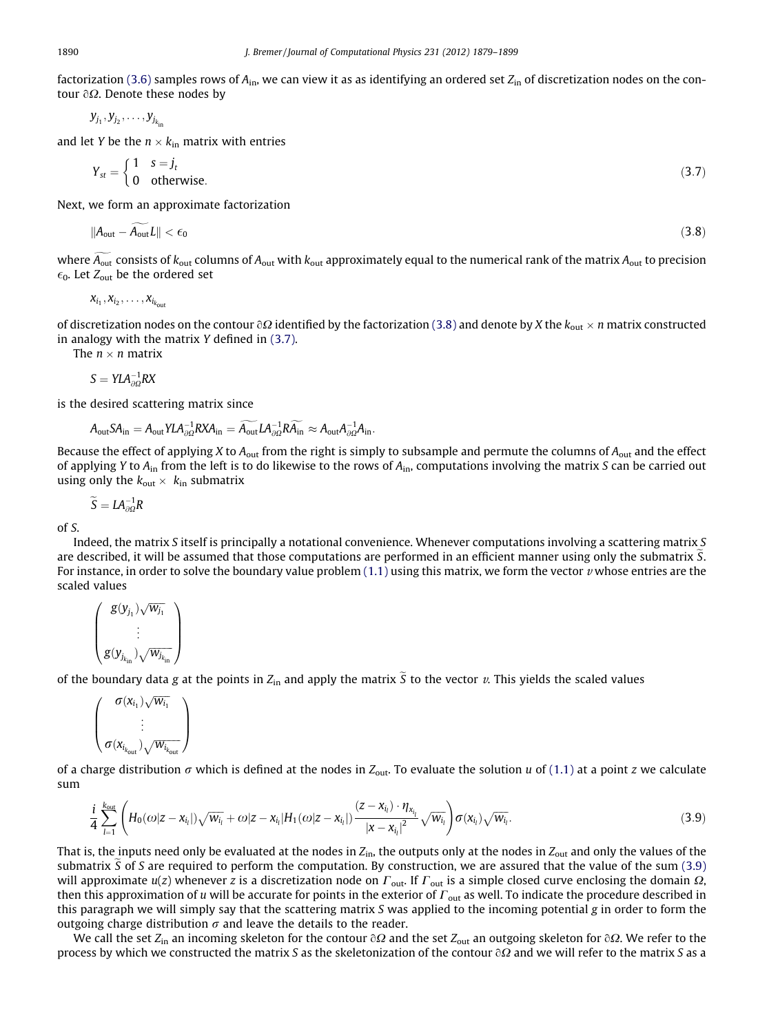factorization [\(3.6\)](#page-10-0) samples rows of  $A_{in}$ , we can view it as as identifying an ordered set  $Z_{in}$  of discretization nodes on the contour  $\partial\Omega$ . Denote these nodes by

$$
\mathbf{y}_{j_1}, \mathbf{y}_{j_2}, \ldots, \mathbf{y}_{j_{k_{in}}}
$$

and let *Y* be the  $n \times k_{\text{in}}$  matrix with entries

$$
Y_{st} = \begin{cases} 1 & s = j_t \\ 0 & \text{otherwise.} \end{cases}
$$
 (3.7)

Next, we form an approximate factorization

$$
||A_{\text{out}} - A_{\text{out}}L|| < \epsilon_0 \tag{3.8}
$$

where  $A_{\rm out}$  consists of  $k_{\rm out}$  columns of  $A_{\rm out}$  with  $k_{\rm out}$  approximately equal to the numerical rank of the matrix  $A_{\rm out}$  to precision  $\epsilon_0$ . Let  $Z_{\text{out}}$  be the ordered set

$$
x_{i_1}, x_{i_2}, \ldots, x_{i_{k_{\text{out}}}}
$$

of discretization nodes on the contour  $\partial\Omega$  identified by the factorization (3.8) and denote by X the  $k_{out} \times n$  matrix constructed in analogy with the matrix Y defined in (3.7).

The  $n \times n$  matrix

 $S = YLA_{\partial\Omega}^{-1}RX$ 

is the desired scattering matrix since

$$
A_{\text{out}}SA_{\text{in}} = A_{\text{out}}YLA_{\partial\Omega}^{-1}RXA_{\text{in}} = A_{\text{out}}LA_{\partial\Omega}^{-1}RA_{\text{in}} \approx A_{\text{out}}A_{\partial\Omega}^{-1}A_{\text{in}}.
$$

Because the effect of applying X to  $A_{\text{out}}$  from the right is simply to subsample and permute the columns of  $A_{\text{out}}$  and the effect of applying Y to  $A_{\text{in}}$  from the left is to do likewise to the rows of  $A_{\text{in}}$ , computations involving the matrix S can be carried out using only the  $k_{\text{out}} \times k_{\text{in}}$  submatrix

$$
\widetilde{S}=LA_{\partial\Omega}^{-1}R
$$

of S.

Indeed, the matrix S itself is principally a notational convenience. Whenever computations involving a scattering matrix S are described, it will be assumed that those computations are performed in an efficient manner using only the submatrix S. For instance, in order to solve the boundary value problem  $(1.1)$  using this matrix, we form the vector v whose entries are the scaled values

$$
\begin{pmatrix}g(y_{j_1})\sqrt{w_{j_1}}\\ \vdots\\ g(y_{j_{k_{\text{in}}}})\sqrt{w_{j_{k_{\text{in}}}}}\end{pmatrix}
$$

of the boundary data g at the points in  $Z_{in}$  and apply the matrix  $\bar{S}$  to the vector v. This yields the scaled values

$$
\begin{pmatrix} \sigma(x_{i_1})\sqrt{w_{i_1}} \\ \vdots \\ \sigma(x_{i_{k_{out}}})\sqrt{w_{i_{k_{out}}}} \end{pmatrix}
$$

of a charge distribution  $\sigma$  which is defined at the nodes in  $Z_{\text{out}}$ . To evaluate the solution u of [\(1.1\)](#page-1-0) at a point z we calculate sum

$$
\frac{i}{4} \sum_{l=1}^{k_{\text{out}}} \left( H_0(\omega | z - x_{i_l}|) \sqrt{w_{i_l}} + \omega | z - x_{i_l}| H_1(\omega | z - x_{i_l}|) \frac{(z - x_{i_l}) \cdot \eta_{x_{i_l}}}{|x - x_{i_l}|^2} \sqrt{w_{i_l}} \right) \sigma(x_{i_l}) \sqrt{w_{i_l}}.
$$
\n(3.9)

That is, the inputs need only be evaluated at the nodes in  $Z_{\text{in}}$ , the outputs only at the nodes in  $Z_{\text{out}}$  and only the values of the submatrix S of S are required to perform the computation. By construction, we are assured that the value of the sum  $(3.9)$ will approximate  $u(z)$  whenever z is a discretization node on  $\Gamma_{\text{out}}$ . If  $\Gamma_{\text{out}}$  is a simple closed curve enclosing the domain  $\Omega$ , then this approximation of u will be accurate for points in the exterior of  $\Gamma_{\text{out}}$  as well. To indicate the procedure described in this paragraph we will simply say that the scattering matrix S was applied to the incoming potential g in order to form the outgoing charge distribution  $\sigma$  and leave the details to the reader.

We call the set  $Z_{in}$  an incoming skeleton for the contour  $\partial\Omega$  and the set  $Z_{out}$  an outgoing skeleton for  $\partial\Omega$ . We refer to the process by which we constructed the matrix S as the skeletonization of the contour  $\partial\Omega$  and we will refer to the matrix S as a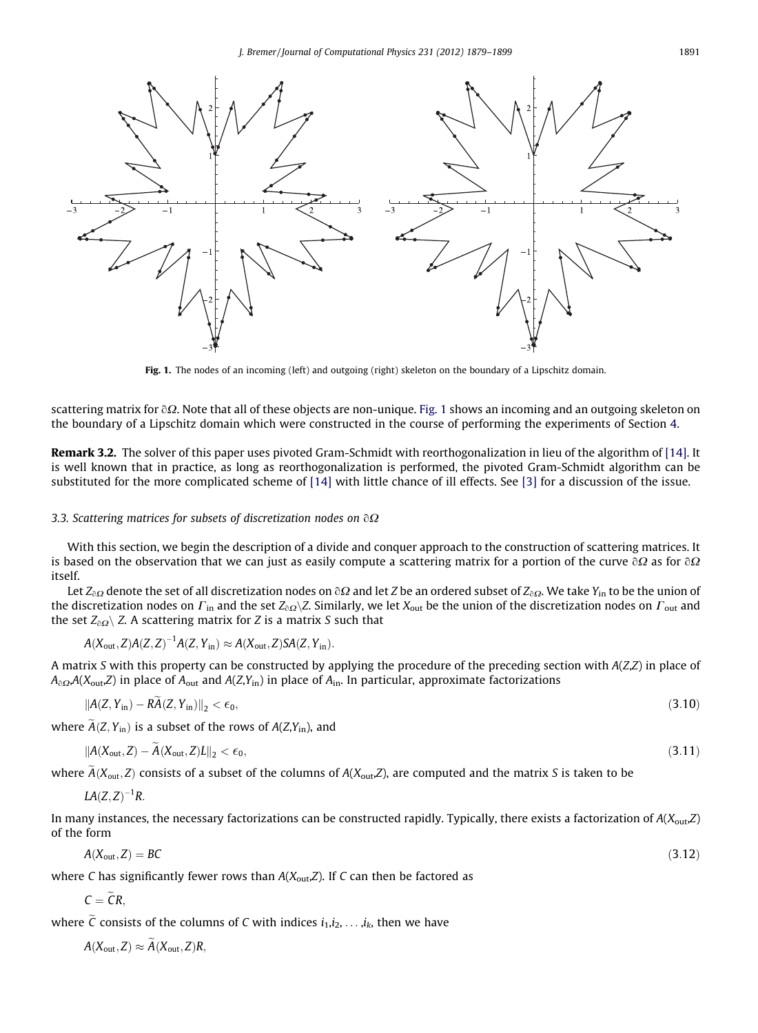<span id="page-12-0"></span>

Fig. 1. The nodes of an incoming (left) and outgoing (right) skeleton on the boundary of a Lipschitz domain.

scattering matrix for  $\partial\Omega$ . Note that all of these objects are non-unique. Fig. 1 shows an incoming and an outgoing skeleton on the boundary of a Lipschitz domain which were constructed in the course of performing the experiments of Section 4.

Remark 3.2. The solver of this paper uses pivoted Gram-Schmidt with reorthogonalization in lieu of the algorithm of [\[14\]](#page-20-0). It is well known that in practice, as long as reorthogonalization is performed, the pivoted Gram-Schmidt algorithm can be substituted for the more complicated scheme of [\[14\]](#page-20-0) with little chance of ill effects. See [\[3\]](#page-19-0) for a discussion of the issue.

# 3.3. Scattering matrices for subsets of discretization nodes on  $\partial\Omega$

With this section, we begin the description of a divide and conquer approach to the construction of scattering matrices. It is based on the observation that we can just as easily compute a scattering matrix for a portion of the curve  $\partial\Omega$  as for  $\partial\Omega$ itself.

Let  $Z_{\partial\Omega}$  denote the set of all discretization nodes on  $\partial\Omega$  and let Z be an ordered subset of  $Z_{\partial\Omega}$ . We take Y<sub>in</sub> to be the union of the discretization nodes on  $\Gamma_{\rm in}$  and the set  $Z_{\rm 02} \backslash Z$ . Similarly, we let  $X_{\rm out}$  be the union of the discretization nodes on  $\Gamma_{\rm out}$  and the set  $Z_{\partial\Omega} \setminus Z$ . A scattering matrix for Z is a matrix S such that

$$
A(X_{out}, Z)A(Z, Z)^{-1}A(Z, Y_{in}) \approx A(X_{out}, Z)SA(Z, Y_{in}).
$$

A matrix S with this property can be constructed by applying the procedure of the preceding section with  $A(Z,Z)$  in place of  $A_{\partial\Omega}A(X_{\text{out}}Z)$  in place of  $A_{\text{out}}$  and  $A(Z,Y_{\text{in}})$  in place of  $A_{\text{in}}$ . In particular, approximate factorizations

$$
\left\|A(Z, Y_{\text{in}}) - R\tilde{A}(Z, Y_{\text{in}})\right\|_{2} < \epsilon_{0},\tag{3.10}
$$

where  $A(Z, Y_{\text{in}})$  is a subset of the rows of  $A(Z, Y_{\text{in}})$ , and

$$
\|A(X_{\text{out}}, Z) - \widetilde{A}(X_{\text{out}}, Z)L\|_2 < \epsilon_0,\tag{3.11}
$$

where  $A(X_{\rm out},Z)$  consists of a subset of the columns of  $A(X_{\rm out},Z)$ , are computed and the matrix S is taken to be

 $LA(Z, Z)^{-1}R$ .

In many instances, the necessary factorizations can be constructed rapidly. Typically, there exists a factorization of  $A(X_{\text{out}}Z)$ of the form

$$
A(X_{\text{out}}, Z) = BC \tag{3.12}
$$

where C has significantly fewer rows than  $A(X_{\text{out}}Z)$ . If C can then be factored as

$$
C=\tilde{C}R,
$$

where C consists of the columns of C with indices  $i_1, i_2, \ldots, i_k$ , then we have

$$
A(X_{\text{out}}, Z) \approx A(X_{\text{out}}, Z)R,
$$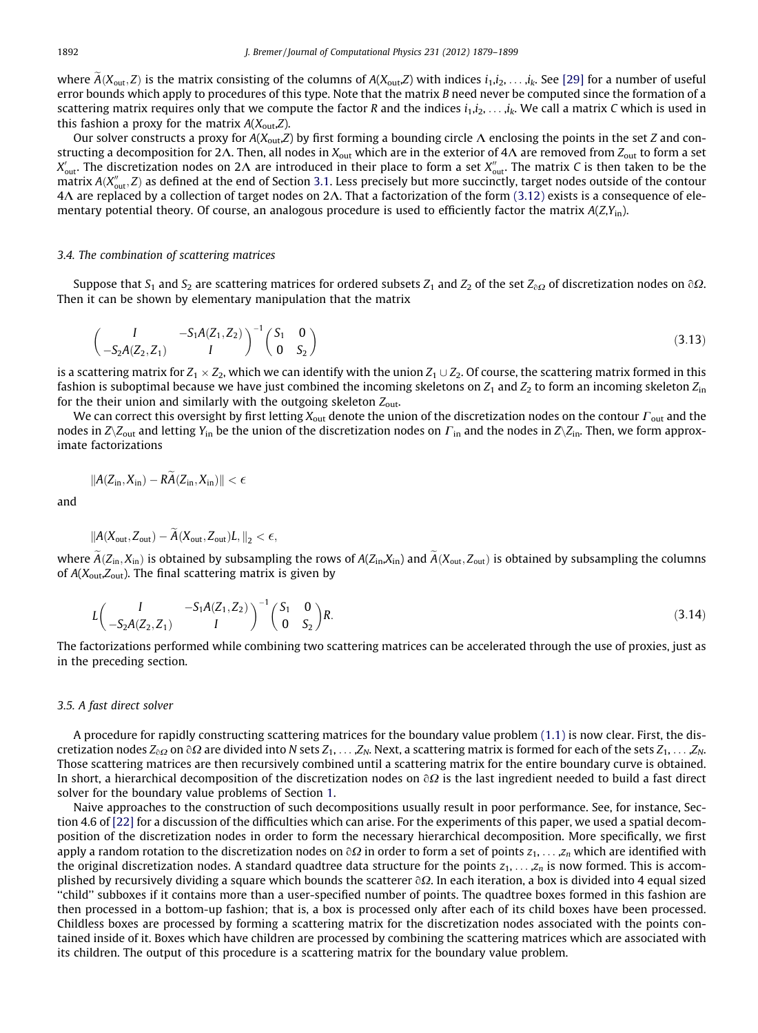where  $A(X_{\text{out}},Z)$  is the matrix consisting of the columns of  $A(X_{\text{out}},Z)$  with indices  $i_1,i_2,\ldots,i_k.$  See [\[29\]](#page-20-0) for a number of useful error bounds which apply to procedures of this type. Note that the matrix B need never be computed since the formation of a scattering matrix requires only that we compute the factor R and the indices  $i_1, i_2, \ldots, i_k$ . We call a matrix C which is used in this fashion a proxy for the matrix  $A(X_{\text{out}}Z)$ .

Our solver constructs a proxy for  $A(X_{\text{out}},Z)$  by first forming a bounding circle  $\Lambda$  enclosing the points in the set Z and constructing a decomposition for 2A. Then, all nodes in  $X_{\text{out}}$  which are in the exterior of 4A are removed from  $Z_{\text{out}}$  to form a set  $X'_{\rm out}$ . The discretization nodes on 2 $\Lambda$  are introduced in their place to form a set  $X''_{\rm out}$ . The matrix C is then taken to be the matrix  $A(X_{\text{out}}'',Z)$  as defined at the end of Section 3.1. Less precisely but more succinctly, target nodes outside of the contour  $4\Lambda$  are replaced by a collection of target nodes on  $2\Lambda$ . That a factorization of the form [\(3.12\)](#page-12-0) exists is a consequence of elementary potential theory. Of course, an analogous procedure is used to efficiently factor the matrix  $A(Z,Y_{\text{in}})$ .

## 3.4. The combination of scattering matrices

Suppose that S<sub>1</sub> and S<sub>2</sub> are scattering matrices for ordered subsets Z<sub>1</sub> and Z<sub>2</sub> of the set Z<sub>02</sub> of discretization nodes on  $\partial\Omega$ . Then it can be shown by elementary manipulation that the matrix

$$
\begin{pmatrix} I & -S_1 A(Z_1, Z_2) \ 0 & I \end{pmatrix}^{-1} \begin{pmatrix} S_1 & 0 \ 0 & S_2 \end{pmatrix}
$$
 (3.13)

is a scattering matrix for  $Z_1 \times Z_2$ , which we can identify with the union  $Z_1 \cup Z_2$ . Of course, the scattering matrix formed in this fashion is suboptimal because we have just combined the incoming skeletons on  $Z_1$  and  $Z_2$  to form an incoming skeleton  $Z_{in}$ for the their union and similarly with the outgoing skeleton  $Z_{\text{out}}$ .

We can correct this oversight by first letting  $X_{out}$  denote the union of the discretization nodes on the contour  $\Gamma_{out}$  and the nodes in  $Z\backslash Z_{\text{out}}$  and letting Y<sub>in</sub> be the union of the discretization nodes on  $\Gamma_{\text{in}}$  and the nodes in  $Z\backslash Z_{\text{in}}$ . Then, we form approximate factorizations

$$
\|A(Z_{in},X_{in}) - R\widetilde{A}(Z_{in},X_{in})\| < \epsilon
$$

and

$$
||A(X_{out}, Z_{out}) - \tilde{A}(X_{out}, Z_{out})L, ||_2 < \epsilon,
$$

where  $A(Z_{\text{in}}, X_{\text{in}})$  is obtained by subsampling the rows of  $A(Z_{\text{in}}X_{\text{in}})$  and  $A(X_{\text{out}}, Z_{\text{out}})$  is obtained by subsampling the columns of  $A(X_{\text{out}}Z_{\text{out}})$ . The final scattering matrix is given by

$$
L\left(\begin{array}{cc} I & -S_1A(Z_1, Z_2) \\ -S_2A(Z_2, Z_1) & I \end{array}\right)^{-1} \left(\begin{array}{cc} S_1 & 0 \\ 0 & S_2 \end{array}\right) R. \tag{3.14}
$$

The factorizations performed while combining two scattering matrices can be accelerated through the use of proxies, just as in the preceding section.

#### 3.5. A fast direct solver

A procedure for rapidly constructing scattering matrices for the boundary value problem [\(1.1\)](#page-1-0) is now clear. First, the discretization nodes  $Z_{0,\Omega}$  on  $\partial\Omega$  are divided into N sets  $Z_1, \ldots, Z_N$ . Next, a scattering matrix is formed for each of the sets  $Z_1, \ldots, Z_N$ . Those scattering matrices are then recursively combined until a scattering matrix for the entire boundary curve is obtained. In short, a hierarchical decomposition of the discretization nodes on  $\partial\Omega$  is the last ingredient needed to build a fast direct solver for the boundary value problems of Section 1.

Naive approaches to the construction of such decompositions usually result in poor performance. See, for instance, Section 4.6 of [\[22\]](#page-20-0) for a discussion of the difficulties which can arise. For the experiments of this paper, we used a spatial decomposition of the discretization nodes in order to form the necessary hierarchical decomposition. More specifically, we first apply a random rotation to the discretization nodes on  $\partial\Omega$  in order to form a set of points  $z_1, \ldots, z_n$  which are identified with the original discretization nodes. A standard quadtree data structure for the points  $z_1, \ldots, z_n$  is now formed. This is accomplished by recursively dividing a square which bounds the scatterer  $\partial\Omega$ . In each iteration, a box is divided into 4 equal sized ''child'' subboxes if it contains more than a user-specified number of points. The quadtree boxes formed in this fashion are then processed in a bottom-up fashion; that is, a box is processed only after each of its child boxes have been processed. Childless boxes are processed by forming a scattering matrix for the discretization nodes associated with the points contained inside of it. Boxes which have children are processed by combining the scattering matrices which are associated with its children. The output of this procedure is a scattering matrix for the boundary value problem.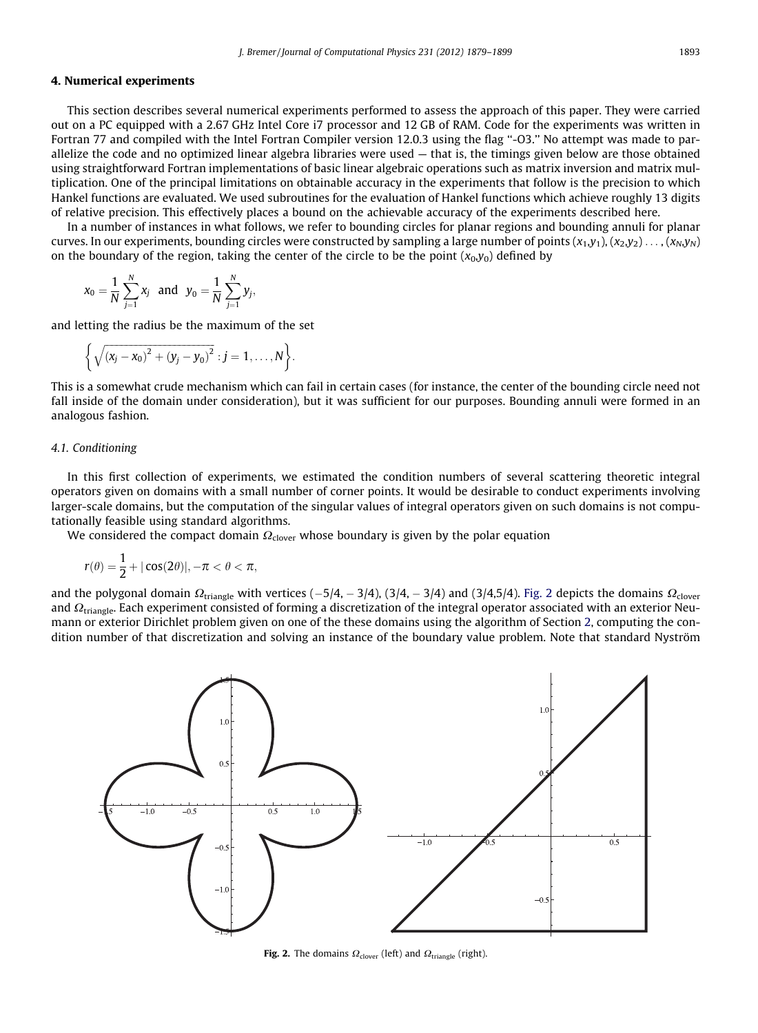# <span id="page-14-0"></span>4. Numerical experiments

This section describes several numerical experiments performed to assess the approach of this paper. They were carried out on a PC equipped with a 2.67 GHz Intel Core i7 processor and 12 GB of RAM. Code for the experiments was written in Fortran 77 and compiled with the Intel Fortran Compiler version 12.0.3 using the flag "-O3." No attempt was made to parallelize the code and no optimized linear algebra libraries were used — that is, the timings given below are those obtained using straightforward Fortran implementations of basic linear algebraic operations such as matrix inversion and matrix multiplication. One of the principal limitations on obtainable accuracy in the experiments that follow is the precision to which Hankel functions are evaluated. We used subroutines for the evaluation of Hankel functions which achieve roughly 13 digits of relative precision. This effectively places a bound on the achievable accuracy of the experiments described here.

In a number of instances in what follows, we refer to bounding circles for planar regions and bounding annuli for planar curves. In our experiments, bounding circles were constructed by sampling a large number of points  $(x_1,y_1), (x_2,y_2) \ldots, (x_N,y_N)$ on the boundary of the region, taking the center of the circle to be the point  $(x_0,y_0)$  defined by

$$
x_0 = \frac{1}{N} \sum_{j=1}^N x_j
$$
 and  $y_0 = \frac{1}{N} \sum_{j=1}^N y_j$ ,

and letting the radius be the maximum of the set

$$
\left\{\sqrt{(x_j-x_0)^2+(y_j-y_0)^2}: j=1,\ldots,N\right\}.
$$

This is a somewhat crude mechanism which can fail in certain cases (for instance, the center of the bounding circle need not fall inside of the domain under consideration), but it was sufficient for our purposes. Bounding annuli were formed in an analogous fashion.

## 4.1. Conditioning

In this first collection of experiments, we estimated the condition numbers of several scattering theoretic integral operators given on domains with a small number of corner points. It would be desirable to conduct experiments involving larger-scale domains, but the computation of the singular values of integral operators given on such domains is not computationally feasible using standard algorithms.

We considered the compact domain  $\Omega_{\text{clover}}$  whose boundary is given by the polar equation

$$
r(\theta) = \frac{1}{2} + |\cos(2\theta)|, -\pi < \theta < \pi,
$$

and the polygonal domain  $\Omega_{\text{triangle}}$  with vertices (-5/4, -3/4), (3/4, -3/4) and (3/4,5/4). Fig. 2 depicts the domains  $\Omega_{\text{clover}}$ and  $\Omega_{\text{triangle}}$ . Each experiment consisted of forming a discretization of the integral operator associated with an exterior Neumann or exterior Dirichlet problem given on one of the these domains using the algorithm of Section 2, computing the condition number of that discretization and solving an instance of the boundary value problem. Note that standard Nyström



Fig. 2. The domains  $\Omega_{\text{clover}}$  (left) and  $\Omega_{\text{triangle}}$  (right).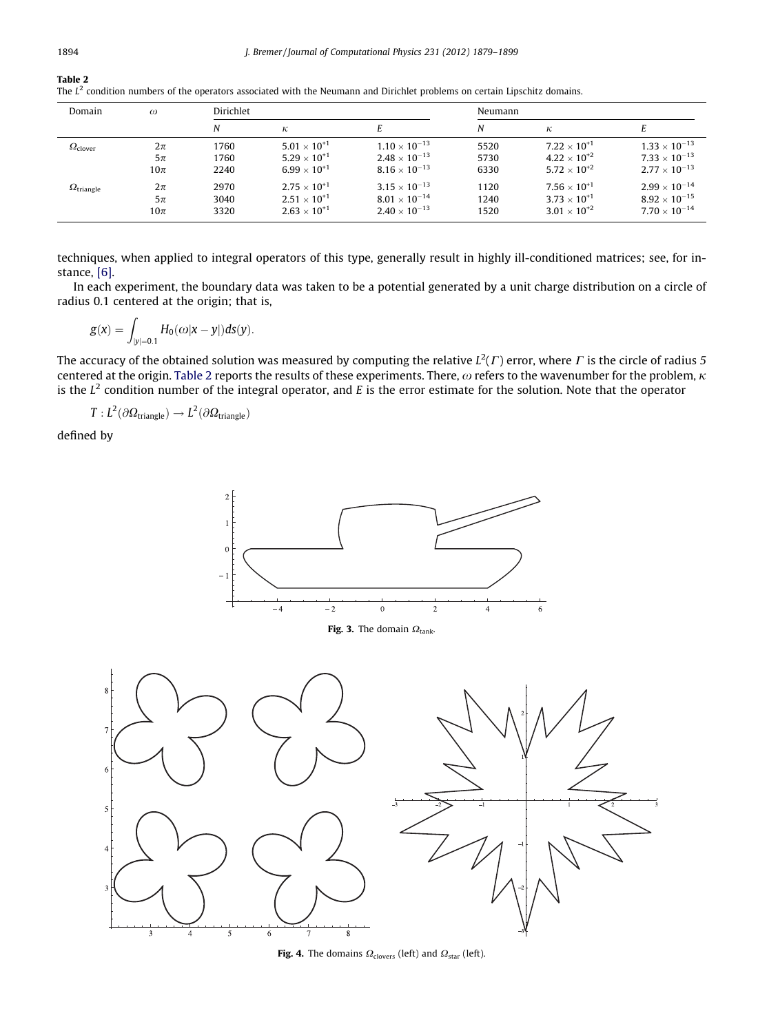#### <span id="page-15-0"></span>Table 2

| Domain                     | $\omega$ | Dirichlet |                       |                        | Neumann |                       |                        |
|----------------------------|----------|-----------|-----------------------|------------------------|---------|-----------------------|------------------------|
|                            |          | N         | $\kappa$              |                        | N       | $\kappa$              |                        |
| $\Omega$ <sub>clover</sub> | $2\pi$   | 1760      | $5.01\times10^{+1}$   | $1.10 \times 10^{-13}$ | 5520    | $7.22 \times 10^{+1}$ | $1.33 \times 10^{-13}$ |
|                            | $5\pi$   | 1760      | $5.29 \times 10^{+1}$ | $2.48 \times 10^{-13}$ | 5730    | $4.22 \times 10^{+2}$ | $7.33 \times 10^{-13}$ |
|                            | $10\pi$  | 2240      | $6.99 \times 10^{+1}$ | $8.16 \times 10^{-13}$ | 6330    | $5.72\times10^{+2}$   | $2.77 \times 10^{-13}$ |
| $\Omega_{\text{triangle}}$ | $2\pi$   | 2970      | $2.75 \times 10^{+1}$ | $3.15 \times 10^{-13}$ | 1120    | $7.56 \times 10^{+1}$ | $2.99 \times 10^{-14}$ |
|                            | $5\pi$   | 3040      | $2.51 \times 10^{+1}$ | $8.01\times10^{-14}$   | 1240    | $3.73 \times 10^{+1}$ | $8.92\times10^{-15}$   |
|                            | $10\pi$  | 3320      | $2.63 \times 10^{+1}$ | $2.40 \times 10^{-13}$ | 1520    | $3.01 \times 10^{+2}$ | $7.70 \times 10^{-14}$ |

The  $L<sup>2</sup>$  condition numbers of the operators associated with the Neumann and Dirichlet problems on certain Lipschitz domains.

techniques, when applied to integral operators of this type, generally result in highly ill-conditioned matrices; see, for instance, [\[6\]](#page-19-0).

In each experiment, the boundary data was taken to be a potential generated by a unit charge distribution on a circle of radius 0.1 centered at the origin; that is,

$$
g(x)=\int_{|y|=0.1}H_0(\omega|x-y|)ds(y).
$$

The accuracy of the obtained solution was measured by computing the relative  $L^2(\varGamma)$  error, where  $\varGamma$  is the circle of radius 5 centered at the origin. Table 2 reports the results of these experiments. There,  $\omega$  refers to the wavenumber for the problem,  $\kappa$ is the  $L^2$  condition number of the integral operator, and E is the error estimate for the solution. Note that the operator

$$
T: L^2(\partial\Omega_{\text{triangle}}) \to L^2(\partial\Omega_{\text{triangle}})
$$

defined by



Fig. 3. The domain  $\Omega_{\text{tank}}$ .



Fig. 4. The domains  $\Omega_{\text{clovers}}$  (left) and  $\Omega_{\text{star}}$  (left).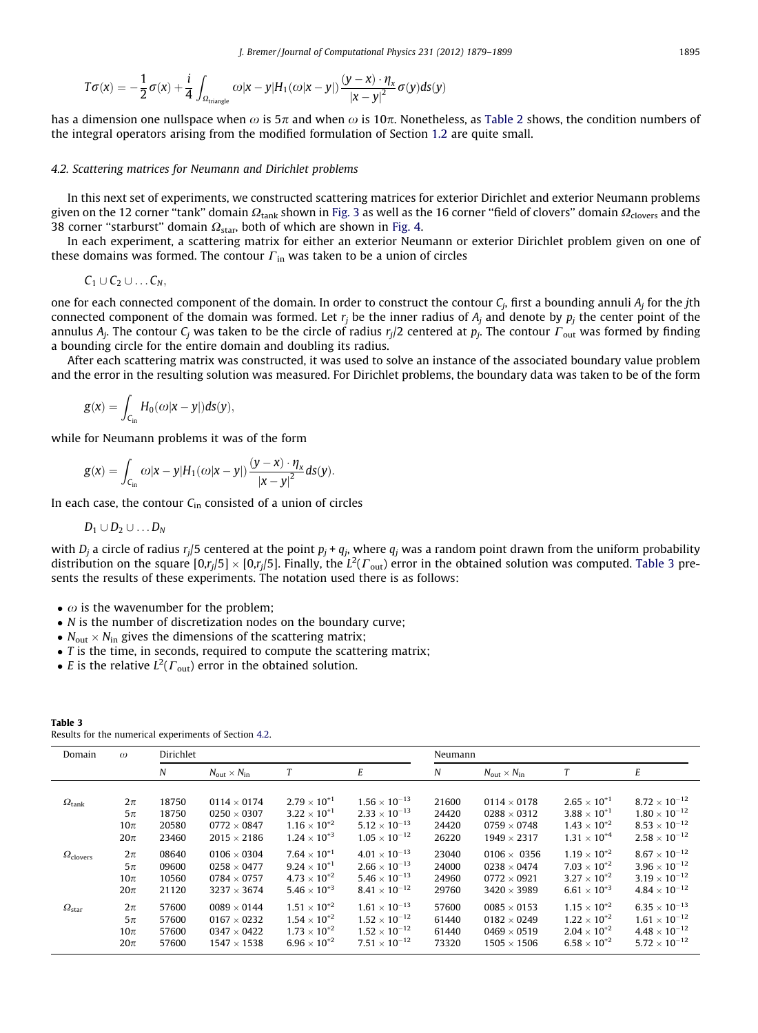$$
T\sigma(x)=-\frac{1}{2}\sigma(x)+\frac{i}{4}\int_{\Omega_{triangle}}\omega|x-y|H_1(\omega|x-y|)\frac{(y-x)\cdot\eta_x}{\left|x-y\right|^2}\sigma(y)ds(y)
$$

has a dimension one nullspace when  $\omega$  is  $5\pi$  and when  $\omega$  is 10 $\pi$ . Nonetheless, as [Table 2](#page-15-0) shows, the condition numbers of the integral operators arising from the modified formulation of Section 1.2 are quite small.

# 4.2. Scattering matrices for Neumann and Dirichlet problems

In this next set of experiments, we constructed scattering matrices for exterior Dirichlet and exterior Neumann problems given on the 12 corner "tank" domain  $\Omega_{\text{tank}}$  shown in [Fig. 3](#page-15-0) as well as the 16 corner "field of clovers" domain  $\Omega_{\text{clovers}}$  and the 38 corner "starburst" domain  $\Omega_{\text{star}}$ , both of which are shown in [Fig. 4](#page-15-0).

In each experiment, a scattering matrix for either an exterior Neumann or exterior Dirichlet problem given on one of these domains was formed. The contour  $\Gamma_{\text{in}}$  was taken to be a union of circles

$$
C_1\cup C_2\cup \ldots C_N,
$$

one for each connected component of the domain. In order to construct the contour  $C_i$ , first a bounding annuli  $A_i$  for the jth connected component of the domain was formed. Let  $r_i$  be the inner radius of  $A_i$  and denote by  $p_i$  the center point of the annulus  $A_i$ . The contour  $C_i$  was taken to be the circle of radius  $r_i/2$  centered at  $p_i$ . The contour  $\Gamma_{\text{out}}$  was formed by finding a bounding circle for the entire domain and doubling its radius.

After each scattering matrix was constructed, it was used to solve an instance of the associated boundary value problem and the error in the resulting solution was measured. For Dirichlet problems, the boundary data was taken to be of the form

$$
g(x) = \int_{C_{in}} H_0(\omega |x - y|) ds(y),
$$

while for Neumann problems it was of the form

$$
g(x)=\int_{C_{\text{in}}} \omega |x-y|H_1(\omega |x-y|)\frac{(y-x)\cdot \eta_x}{|x-y|^2}d s(y).
$$

In each case, the contour  $C_{\text{in}}$  consisted of a union of circles

$$
D_1\cup D_2\cup \ldots D_N
$$

with  $D_i$  a circle of radius r<sub>i</sub>/5 centered at the point  $p_i + q_i$ , where  $q_i$  was a random point drawn from the uniform probability distribution on the square [0,r<sub>j</sub>/5] × [0,r<sub>j</sub>/5]. Finally, the L<sup>2</sup>(  $\varGamma_{\rm out}$ ) error in the obtained solution was computed. Table 3 presents the results of these experiments. The notation used there is as follows:

- $\omega$  is the wavenumber for the problem;
- N is the number of discretization nodes on the boundary curve;
- $\bullet$   $N_{\text{out}} \times N_{\text{in}}$  gives the dimensions of the scattering matrix;
- $\bullet$  T is the time, in seconds, required to compute the scattering matrix;
- *E* is the relative  $L^2(\Gamma_{\text{out}})$  error in the obtained solution.

| Table 3 |  |                                                       |  |
|---------|--|-------------------------------------------------------|--|
|         |  | Results for the numerical experiments of Section 4.2. |  |

| Domain                    | $\omega$ | Dirichlet        |                                       |                       |                        | Neumann |                                       |                       |                        |
|---------------------------|----------|------------------|---------------------------------------|-----------------------|------------------------|---------|---------------------------------------|-----------------------|------------------------|
|                           |          | $\boldsymbol{N}$ | $N_{\text{out}} \times N_{\text{in}}$ | T                     | E                      | N       | $N_{\text{out}} \times N_{\text{in}}$ | T                     | E                      |
|                           |          |                  |                                       |                       |                        |         |                                       |                       |                        |
| $\Omega_{\rm tank}$       | $2\pi$   | 18750            | $0114 \times 0174$                    | $2.79 \times 10^{+1}$ | $1.56 \times 10^{-13}$ | 21600   | $0114 \times 0178$                    | $2.65 \times 10^{+1}$ | $8.72 \times 10^{-12}$ |
|                           | $5\pi$   | 18750            | $0250 \times 0307$                    | $3.22 \times 10^{+1}$ | $2.33 \times 10^{-13}$ | 24420   | $0288 \times 0312$                    | $3.88 \times 10^{+1}$ | $1.80 \times 10^{-12}$ |
|                           | $10\pi$  | 20580            | $0772 \times 0847$                    | $1.16 \times 10^{+2}$ | $5.12 \times 10^{-13}$ | 24420   | $0759 \times 0748$                    | $1.43 \times 10^{+2}$ | $8.53 \times 10^{-12}$ |
|                           | $20\pi$  | 23460            | $2015 \times 2186$                    | $1.24 \times 10^{+3}$ | $1.05 \times 10^{-12}$ | 26220   | $1949 \times 2317$                    | $1.31 \times 10^{+4}$ | $2.58 \times 10^{-12}$ |
| $\Omega_{\text{clovers}}$ | $2\pi$   | 08640            | $0106 \times 0304$                    | $7.64 \times 10^{+1}$ | $4.01 \times 10^{-13}$ | 23040   | $0106 \times 0356$                    | $1.19 \times 10^{+2}$ | $8.67 \times 10^{-12}$ |
|                           | $5\pi$   | 09600            | $0258 \times 0477$                    | $9.24 \times 10^{+1}$ | $2.66 \times 10^{-13}$ | 24000   | $0238 \times 0474$                    | $7.03 \times 10^{+2}$ | $3.96 \times 10^{-12}$ |
|                           | $10\pi$  | 10560            | $0784 \times 0757$                    | $4.73 \times 10^{+2}$ | $5.46 \times 10^{-13}$ | 24960   | $0772 \times 0921$                    | $3.27 \times 10^{+2}$ | $3.19 \times 10^{-12}$ |
|                           | $20\pi$  | 21120            | $3237 \times 3674$                    | $5.46 \times 10^{+3}$ | $8.41 \times 10^{-12}$ | 29760   | $3420 \times 3989$                    | $6.61 \times 10^{+3}$ | $4.84 \times 10^{-12}$ |
| $\Omega_{\rm star}$       | $2\pi$   | 57600            | $0089 \times 0144$                    | $1.51 \times 10^{+2}$ | $1.61 \times 10^{-13}$ | 57600   | $0085 \times 0153$                    | $1.15 \times 10^{+2}$ | $6.35 \times 10^{-13}$ |
|                           | $5\pi$   | 57600            | $0167 \times 0232$                    | $1.54 \times 10^{+2}$ | $1.52 \times 10^{-12}$ | 61440   | $0182 \times 0249$                    | $1.22 \times 10^{+2}$ | $1.61 \times 10^{-12}$ |
|                           | $10\pi$  | 57600            | $0347 \times 0422$                    | $1.73 \times 10^{+2}$ | $1.52 \times 10^{-12}$ | 61440   | $0469 \times 0519$                    | $2.04 \times 10^{+2}$ | $4.48 \times 10^{-12}$ |
|                           | $20\pi$  | 57600            | $1547 \times 1538$                    | $6.96 \times 10^{+2}$ | $7.51 \times 10^{-12}$ | 73320   | $1505 \times 1506$                    | $6.58 \times 10^{+2}$ | $5.72 \times 10^{-12}$ |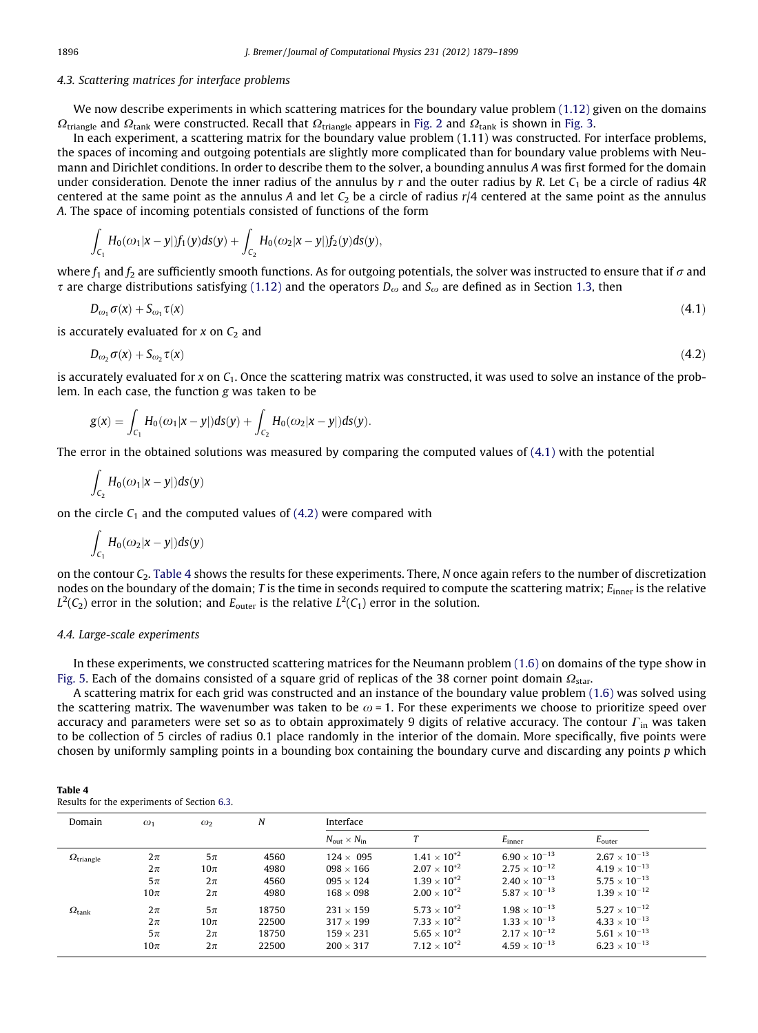# 4.3. Scattering matrices for interface problems

We now describe experiments in which scattering matrices for the boundary value problem [\(1.12\)](#page-4-0) given on the domains  $\Omega_{\text{triangle}}$  and  $\Omega_{\text{tank}}$  were constructed. Recall that  $\Omega_{\text{triangle}}$  appears in [Fig. 2](#page-14-0) and  $\Omega_{\text{tank}}$  is shown in [Fig. 3](#page-15-0).

In each experiment, a scattering matrix for the boundary value problem (1.11) was constructed. For interface problems, the spaces of incoming and outgoing potentials are slightly more complicated than for boundary value problems with Neumann and Dirichlet conditions. In order to describe them to the solver, a bounding annulus A was first formed for the domain under consideration. Denote the inner radius of the annulus by r and the outer radius by R. Let  $C_1$  be a circle of radius 4R centered at the same point as the annulus A and let  $C_2$  be a circle of radius r/4 centered at the same point as the annulus A. The space of incoming potentials consisted of functions of the form

$$
\int_{C_1} H_0(\omega_1|x-y|)f_1(y)ds(y) + \int_{C_2} H_0(\omega_2|x-y|)f_2(y)ds(y),
$$

where  $f_1$  and  $f_2$  are sufficiently smooth functions. As for outgoing potentials, the solver was instructed to ensure that if  $\sigma$  and  $\tau$  are charge distributions satisfying [\(1.12\)](#page-4-0) and the operators  $D_{\omega}$  and  $S_{\omega}$  are defined as in Section 1.3, then

$$
D_{\omega_1}\sigma(x) + S_{\omega_1}\tau(x) \tag{4.1}
$$

is accurately evaluated for  $x$  on  $C_2$  and

$$
D_{\omega_2}\sigma(x) + S_{\omega_2}\tau(x) \tag{4.2}
$$

is accurately evaluated for x on  $C_1$ . Once the scattering matrix was constructed, it was used to solve an instance of the problem. In each case, the function g was taken to be

$$
g(x)=\int_{C_1}H_0(\omega_1|x-y|)ds(y)+\int_{C_2}H_0(\omega_2|x-y|)ds(y).
$$

The error in the obtained solutions was measured by comparing the computed values of (4.1) with the potential

$$
\int_{C_2} H_0(\omega_1|x-y|)ds(y)
$$

on the circle  $C_1$  and the computed values of (4.2) were compared with

$$
\int_{C_1} H_0(\omega_2|x-y|)ds(y)
$$

on the contour  $C_2$ . Table 4 shows the results for these experiments. There, N once again refers to the number of discretization nodes on the boundary of the domain; T is the time in seconds required to compute the scattering matrix;  $E_{\text{inner}}$  is the relative  $L^2(\mathcal{C}_2)$  error in the solution; and  $E_{\text{outer}}$  is the relative  $L^2(\mathcal{C}_1)$  error in the solution.

# 4.4. Large-scale experiments

In these experiments, we constructed scattering matrices for the Neumann problem [\(1.6\)](#page-2-0) on domains of the type show in [Fig. 5.](#page-18-0) Each of the domains consisted of a square grid of replicas of the 38 corner point domain  $\Omega_{\rm star}$ .

A scattering matrix for each grid was constructed and an instance of the boundary value problem [\(1.6\)](#page-2-0) was solved using the scattering matrix. The wavenumber was taken to be  $\omega = 1$ . For these experiments we choose to prioritize speed over accuracy and parameters were set so as to obtain approximately 9 digits of relative accuracy. The contour  $\Gamma_{\rm in}$  was taken to be collection of 5 circles of radius 0.1 place randomly in the interior of the domain. More specifically, five points were chosen by uniformly sampling points in a bounding box containing the boundary curve and discarding any points  $p$  which

| Table 4                                     |  |
|---------------------------------------------|--|
| Results for the experiments of Section 6.3. |  |

| Domain                     | $\omega_1$ | $\omega_2$ | N     | Interface                             |                       |                        |                        |  |
|----------------------------|------------|------------|-------|---------------------------------------|-----------------------|------------------------|------------------------|--|
|                            |            |            |       | $N_{\text{out}} \times N_{\text{in}}$ |                       | $E_{inner}$            | $E_{\text{outer}}$     |  |
| $\Omega_{\text{triangle}}$ | $2\pi$     | $5\pi$     | 4560  | $124 \times 0.95$                     | $1.41 \times 10^{+2}$ | $6.90 \times 10^{-13}$ | $2.67 \times 10^{-13}$ |  |
|                            | $2\pi$     | $10\pi$    | 4980  | $098 \times 166$                      | $2.07 \times 10^{+2}$ | $2.75 \times 10^{-12}$ | $4.19 \times 10^{-13}$ |  |
|                            | $5\pi$     | $2\pi$     | 4560  | $0.95 \times 124$                     | $1.39 \times 10^{+2}$ | $2.40 \times 10^{-13}$ | $5.75 \times 10^{-13}$ |  |
|                            | $10\pi$    | $2\pi$     | 4980  | $168 \times 098$                      | $2.00 \times 10^{+2}$ | $5.87 \times 10^{-13}$ | $1.39 \times 10^{-12}$ |  |
| $\Omega_{\text{tank}}$     | $2\pi$     | $5\pi$     | 18750 | $231 \times 159$                      | $5.73 \times 10^{+2}$ | $1.98 \times 10^{-13}$ | $5.27 \times 10^{-12}$ |  |
|                            | $2\pi$     | $10\pi$    | 22500 | $317 \times 199$                      | $7.33 \times 10^{+2}$ | $1.33 \times 10^{-13}$ | $4.33 \times 10^{-13}$ |  |
|                            | $5\pi$     | $2\pi$     | 18750 | $159 \times 231$                      | $5.65 \times 10^{+2}$ | $2.17 \times 10^{-12}$ | $5.61 \times 10^{-13}$ |  |
|                            | $10\pi$    | $2\pi$     | 22500 | $200 \times 317$                      | $7.12 \times 10^{+2}$ | $4.59 \times 10^{-13}$ | $6.23 \times 10^{-13}$ |  |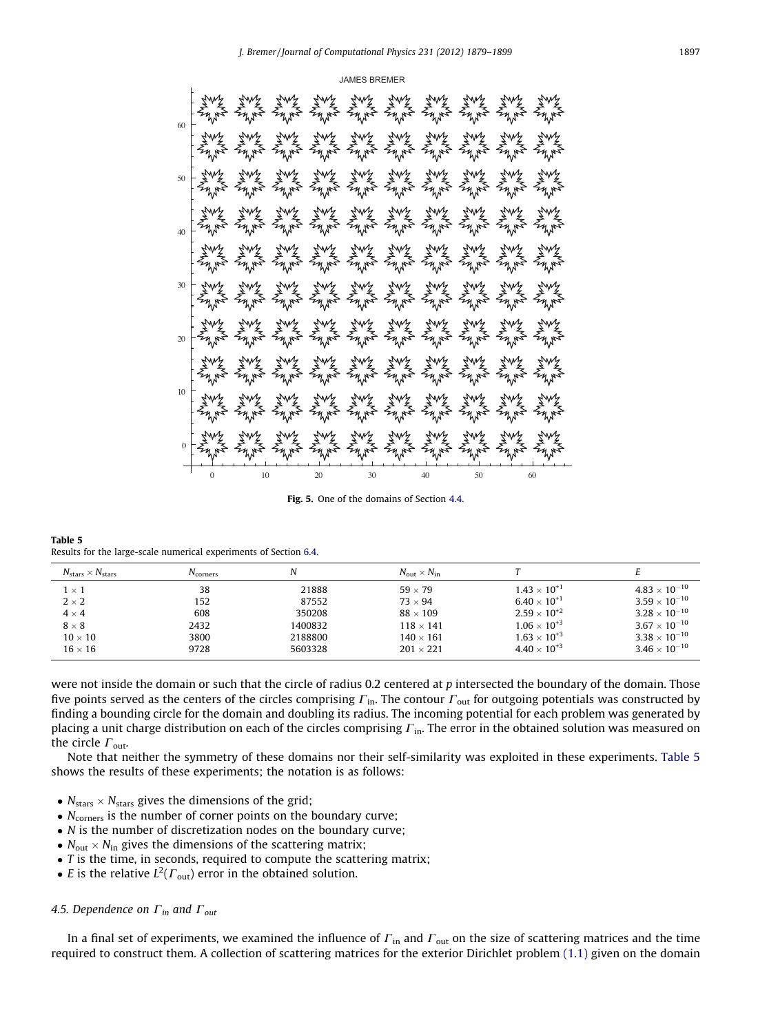#### JAMES BREMER

<span id="page-18-0"></span>

| 60 | Envir Envir |                      |               |                   | <b>FAME FAME FAME</b> |             |                      | <b>THIS TIME THAT THAT THAT</b>          |                      |              |
|----|-------------|----------------------|---------------|-------------------|-----------------------|-------------|----------------------|------------------------------------------|----------------------|--------------|
|    |             | <b>FAMILY FAMILY</b> |               |                   |                       |             |                      | A THIS EATLE STATE STATE STATE STATE     |                      | ENITE ENITE  |
| 50 | Sunt Sunt   |                      | <b>WANTED</b> |                   | Sunt Sunt             |             | Sunt Engine          | <b>WANTED</b>                            |                      | Envis Envis  |
|    |             | Envir Envir          |               |                   | Entre Entre Entre     |             |                      | Entre Entre Entre                        | <b>WANTER</b>        | <b>FAMIL</b> |
|    |             | Earns Earns          |               |                   | Entre Entre Entre     | Entre Entre |                      | <b>WANTED</b>                            | Envir Envir          |              |
| 30 |             | Envis Environ        |               |                   |                       |             |                      | Alle Eller Eller Eller Eller Eller Eller | <b>WANTER</b>        | <b>FAMIL</b> |
| 20 |             | Sunt Sunt            |               |                   | ENIE ENIE ENIE        |             | <b>FAMILY FAMILY</b> | <b>WATER</b>                             | <b>FAMILY FAMILY</b> |              |
|    |             | <b>SMAR STARS</b>    |               | <b>SMAR STARS</b> | <b>WANTED</b>         |             | <b>ENITE STATE</b>   | <b>WANTED</b>                            | <b>WATER</b>         | Eagles       |
| 10 |             | <b>ENNE ENNE</b>     | <b>WANTED</b> | <b>WANTED</b>     | <b>WANTED</b>         |             | <b>ENTER ENTER</b>   | <b>WANTED</b>                            | <b>SAMAR</b>         | <b>WATER</b> |
|    | Entre Entre |                      |               |                   | EMPE EATHER EATHER    |             |                      | EMME EAMLE EAMLE                         | <b>WANTER</b>        | Alline       |
|    |             |                      |               |                   |                       |             |                      |                                          |                      |              |

Fig. 5. One of the domains of Section 4.4.

#### Table 5

Results for the large-scale numerical experiments of Section 6.4.

| $N_{\rm stars}\times N_{\rm stars}$ | $N_{\text{corners}}$ |         | $N_{\rm out} \times N_{\rm in}$ |                       |                        |
|-------------------------------------|----------------------|---------|---------------------------------|-----------------------|------------------------|
| $1\times1$                          | 38                   | 21888   | $59 \times 79$                  | $1.43 \times 10^{+1}$ | $4.83 \times 10^{-10}$ |
| $2 \times 2$                        | 152                  | 87552   | $73 \times 94$                  | $6.40 \times 10^{+1}$ | $3.59 \times 10^{-10}$ |
| $4 \times 4$                        | 608                  | 350208  | $88 \times 109$                 | $2.59 \times 10^{+2}$ | $3.28 \times 10^{-10}$ |
| $8 \times 8$                        | 2432                 | 1400832 | $118 \times 141$                | $1.06 \times 10^{+3}$ | $3.67 \times 10^{-10}$ |
| $10 \times 10$                      | 3800                 | 2188800 | $140 \times 161$                | $1.63 \times 10^{+3}$ | $3.38 \times 10^{-10}$ |
| $16 \times 16$                      | 9728                 | 5603328 | $201 \times 221$                | $4.40 \times 10^{+3}$ | $3.46 \times 10^{-10}$ |

were not inside the domain or such that the circle of radius 0.2 centered at  $p$  intersected the boundary of the domain. Those five points served as the centers of the circles comprising  $\Gamma_{\text{in}}$ . The contour  $\Gamma_{\text{out}}$  for outgoing potentials was constructed by finding a bounding circle for the domain and doubling its radius. The incoming potential for each problem was generated by placing a unit charge distribution on each of the circles comprising  $\Gamma_{\rm in}$ . The error in the obtained solution was measured on the circle  $\Gamma_{\text{out}}$ .

Note that neither the symmetry of these domains nor their self-similarity was exploited in these experiments. Table 5 shows the results of these experiments; the notation is as follows:

- $N_{\text{stars}} \times N_{\text{stars}}$  gives the dimensions of the grid;
- $\bullet$   $N_{\text{corners}}$  is the number of corner points on the boundary curve;
- N is the number of discretization nodes on the boundary curve;
- $N_{\text{out}} \times N_{\text{in}}$  gives the dimensions of the scattering matrix;
- $\bullet$  T is the time, in seconds, required to compute the scattering matrix;
- *E* is the relative  $L^2(\Gamma_{\text{out}})$  error in the obtained solution.

# 4.5. Dependence on  $\Gamma_{in}$  and  $\Gamma_{out}$

In a final set of experiments, we examined the influence of  $\Gamma_{\text{in}}$  and  $\Gamma_{\text{out}}$  on the size of scattering matrices and the time required to construct them. A collection of scattering matrices for the exterior Dirichlet problem [\(1.1\)](#page-1-0) given on the domain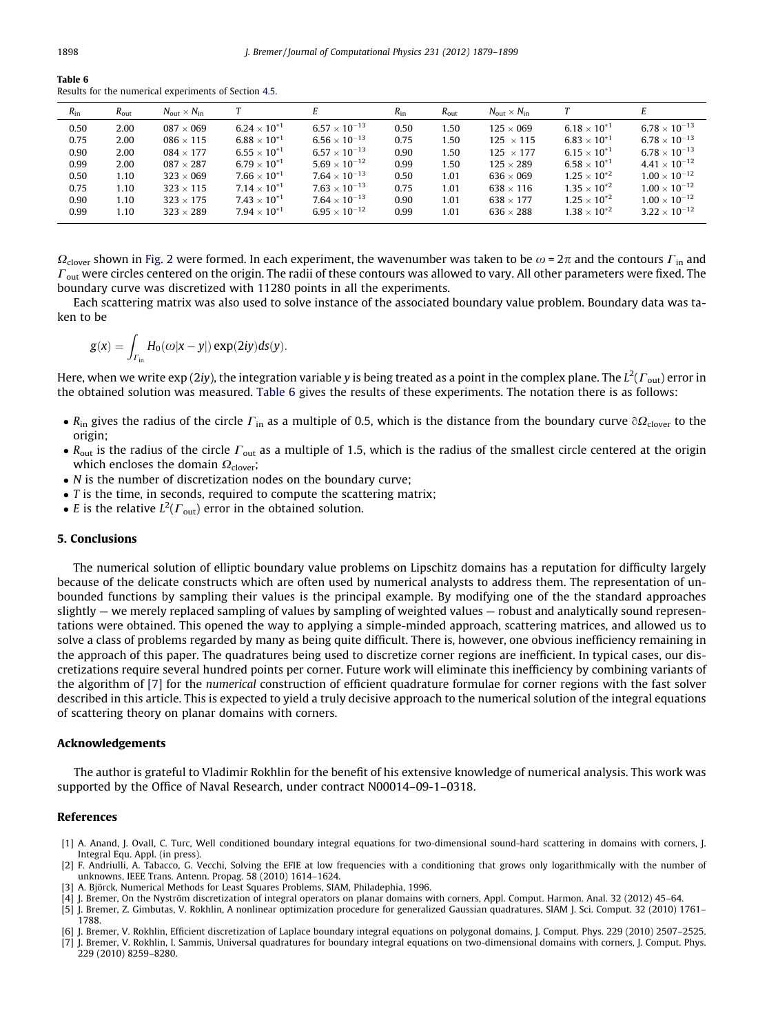<span id="page-19-0"></span>

| Table o                                               |  |  |
|-------------------------------------------------------|--|--|
| Results for the numerical experiments of Section 4.5. |  |  |

| $R_{\rm in}$ | $R_{\text{out}}$ | $N_{\text{out}} \times N_{\text{in}}$ |                       | Е                      | $R_{\rm in}$ | $R_{\text{out}}$ | $N_{\text{out}} \times N_{\text{in}}$ |                       |                        |
|--------------|------------------|---------------------------------------|-----------------------|------------------------|--------------|------------------|---------------------------------------|-----------------------|------------------------|
| 0.50         | 2.00             | $087\times069$                        | $6.24 \times 10^{+1}$ | $6.57 \times 10^{-13}$ | 0.50         | 1.50             | $125 \times 069$                      | $6.18 \times 10^{+1}$ | $6.78 \times 10^{-13}$ |
| 0.75         | 2.00             | $086 \times 115$                      | $6.88 \times 10^{+1}$ | $6.56\times10^{-13}$   | 0.75         | 1.50             | $125 \times 115$                      | $6.83\times10^{+1}$   | $6.78\times10^{-13}$   |
| 0.90         | 2.00             | $084 \times 177$                      | $6.55 \times 10^{+1}$ | $6.57\times10^{-13}$   | 0.90         | 1.50             | $125 \times 177$                      | $6.15 \times 10^{+1}$ | $6.78\times10^{-13}$   |
| 0.99         | 2.00             | $087 \times 287$                      | $6.79 \times 10^{+1}$ | $5.69\times10^{-12}$   | 0.99         | 1.50             | $125 \times 289$                      | $6.58 \times 10^{+1}$ | $4.41 \times 10^{-12}$ |
| 0.50         | 1.10             | $323 \times 069$                      | $7.66 \times 10^{+1}$ | $7.64 \times 10^{-13}$ | 0.50         | 1.01             | $636 \times 069$                      | $1.25 \times 10^{+2}$ | $1.00 \times 10^{-12}$ |
| 0.75         | 1.10             | $323 \times 115$                      | $7.14 \times 10^{+1}$ | $7.63 \times 10^{-13}$ | 0.75         | 1.01             | $638 \times 116$                      | $1.35 \times 10^{+2}$ | $1.00 \times 10^{-12}$ |
| 0.90         | 1.10             | $323 \times 175$                      | $7.43 \times 10^{+1}$ | $7.64 \times 10^{-13}$ | 0.90         | 1.01             | $638 \times 177$                      | $1.25 \times 10^{+2}$ | $1.00 \times 10^{-12}$ |
| 0.99         | 1.10             | $323 \times 289$                      | $7.94 \times 10^{+1}$ | $6.95 \times 10^{-12}$ | 0.99         | 1.01             | $636 \times 288$                      | $1.38 \times 10^{+2}$ | $3.22 \times 10^{-12}$ |

 $\Omega_{\text{clover}}$  shown in [Fig. 2](#page-14-0) were formed. In each experiment, the wavenumber was taken to be  $\omega$  = 2 $\pi$  and the contours  $\Gamma_{\text{in}}$  and  $\Gamma_{\rm out}$  were circles centered on the origin. The radii of these contours was allowed to vary. All other parameters were fixed. The boundary curve was discretized with 11280 points in all the experiments.

Each scattering matrix was also used to solve instance of the associated boundary value problem. Boundary data was taken to be

$$
g(x)=\int_{\varGamma_{in}}H_0(\omega|x-y|)\,exp(2iy)ds(y).
$$

Here, when we write exp (2iy), the integration variable y is being treated as a point in the complex plane. The  $L^2(\Gamma_{\rm out})$  error in the obtained solution was measured. Table 6 gives the results of these experiments. The notation there is as follows:

- $R_{\text{in}}$  gives the radius of the circle  $\Gamma_{\text{in}}$  as a multiple of 0.5, which is the distance from the boundary curve  $\partial\Omega_{\text{clover}}$  to the origin;
- $R_{\text{out}}$  is the radius of the circle  $\Gamma_{\text{out}}$  as a multiple of 1.5, which is the radius of the smallest circle centered at the origin which encloses the domain  $\Omega_{\text{clover}}$ ;
- N is the number of discretization nodes on the boundary curve;
- $\bullet$  T is the time, in seconds, required to compute the scattering matrix;
- *E* is the relative  $L^2(\Gamma_{\text{out}})$  error in the obtained solution.

# 5. Conclusions

The numerical solution of elliptic boundary value problems on Lipschitz domains has a reputation for difficulty largely because of the delicate constructs which are often used by numerical analysts to address them. The representation of unbounded functions by sampling their values is the principal example. By modifying one of the the standard approaches slightly — we merely replaced sampling of values by sampling of weighted values — robust and analytically sound representations were obtained. This opened the way to applying a simple-minded approach, scattering matrices, and allowed us to solve a class of problems regarded by many as being quite difficult. There is, however, one obvious inefficiency remaining in the approach of this paper. The quadratures being used to discretize corner regions are inefficient. In typical cases, our discretizations require several hundred points per corner. Future work will eliminate this inefficiency by combining variants of the algorithm of [7] for the numerical construction of efficient quadrature formulae for corner regions with the fast solver described in this article. This is expected to yield a truly decisive approach to the numerical solution of the integral equations of scattering theory on planar domains with corners.

#### Acknowledgements

The author is grateful to Vladimir Rokhlin for the benefit of his extensive knowledge of numerical analysis. This work was supported by the Office of Naval Research, under contract N00014–09-1–0318.

# References

- [1] A. Anand, J. Ovall, C. Turc, Well conditioned boundary integral equations for two-dimensional sound-hard scattering in domains with corners, J. Integral Equ. Appl. (in press).
- [2] F. Andriulli, A. Tabacco, G. Vecchi, Solving the EFIE at low frequencies with a conditioning that grows only logarithmically with the number of unknowns, IEEE Trans. Antenn. Propag. 58 (2010) 1614–1624.
- [3] A. Björck, Numerical Methods for Least Squares Problems, SIAM, Philadephia, 1996.
- [4] J. Bremer, On the Nyström discretization of integral operators on planar domains with corners, Appl. Comput. Harmon. Anal. 32 (2012) 45–64.

[5] J. Bremer, Z. Gimbutas, V. Rokhlin, A nonlinear optimization procedure for generalized Gaussian quadratures, SIAM J. Sci. Comput. 32 (2010) 1761– 1788.

[6] J. Bremer, V. Rokhlin, Efficient discretization of Laplace boundary integral equations on polygonal domains, J. Comput. Phys. 229 (2010) 2507–2525.

[7] J. Bremer, V. Rokhlin, I. Sammis, Universal quadratures for boundary integral equations on two-dimensional domains with corners, J. Comput. Phys. 229 (2010) 8259–8280.